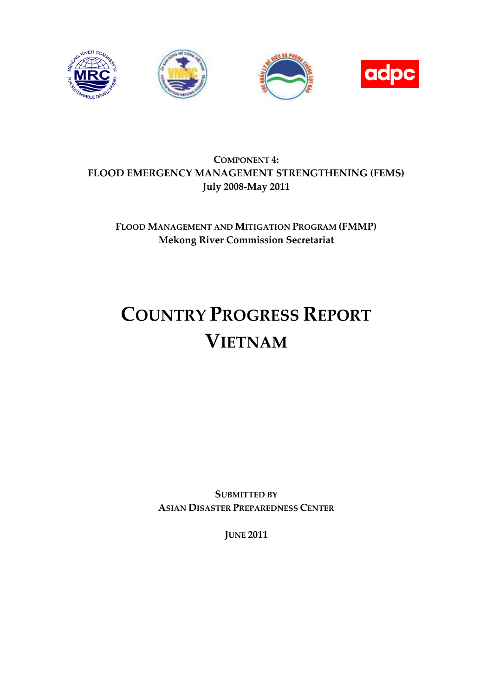

# **COMPONENT 4: FLOOD EMERGENCY MANAGEMENT STRENGTHENING (FEMS) July 2008-May 2011**

# **FLOOD MANAGEMENT AND MITIGATION PROGRAM (FMMP) Mekong River Commission Secretariat**

# **COUNTRY PROGRESS REPORT VIETNAM**

**SUBMITTED BY ASIAN DISASTER PREPAREDNESS CENTER**

**JUNE 2011**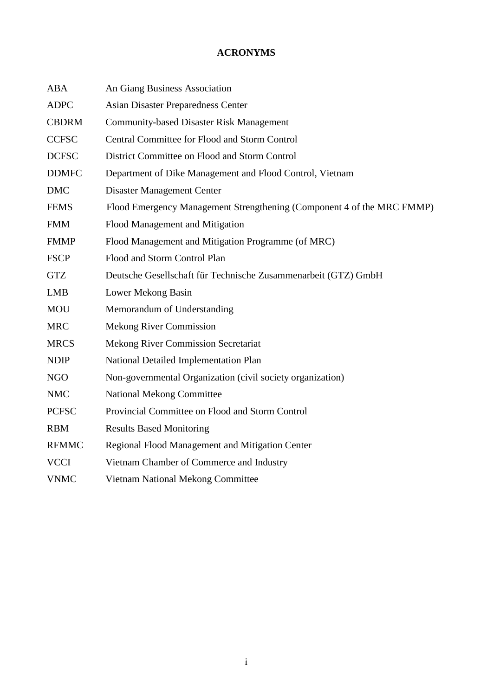# **ACRONYMS**

<span id="page-1-0"></span>

| <b>ABA</b>   | An Giang Business Association                                          |
|--------------|------------------------------------------------------------------------|
| <b>ADPC</b>  | <b>Asian Disaster Preparedness Center</b>                              |
| <b>CBDRM</b> | <b>Community-based Disaster Risk Management</b>                        |
| <b>CCFSC</b> | Central Committee for Flood and Storm Control                          |
| <b>DCFSC</b> | District Committee on Flood and Storm Control                          |
| <b>DDMFC</b> | Department of Dike Management and Flood Control, Vietnam               |
| <b>DMC</b>   | <b>Disaster Management Center</b>                                      |
| <b>FEMS</b>  | Flood Emergency Management Strengthening (Component 4 of the MRC FMMP) |
| <b>FMM</b>   | Flood Management and Mitigation                                        |
| <b>FMMP</b>  | Flood Management and Mitigation Programme (of MRC)                     |
| <b>FSCP</b>  | Flood and Storm Control Plan                                           |
| <b>GTZ</b>   | Deutsche Gesellschaft für Technische Zusammenarbeit (GTZ) GmbH         |
| <b>LMB</b>   | Lower Mekong Basin                                                     |
| <b>MOU</b>   | Memorandum of Understanding                                            |
| <b>MRC</b>   | <b>Mekong River Commission</b>                                         |
| <b>MRCS</b>  | <b>Mekong River Commission Secretariat</b>                             |
| <b>NDIP</b>  | National Detailed Implementation Plan                                  |
| <b>NGO</b>   | Non-governmental Organization (civil society organization)             |
| <b>NMC</b>   | <b>National Mekong Committee</b>                                       |
| <b>PCFSC</b> | Provincial Committee on Flood and Storm Control                        |
| <b>RBM</b>   | <b>Results Based Monitoring</b>                                        |
| <b>RFMMC</b> | Regional Flood Management and Mitigation Center                        |
| <b>VCCI</b>  | Vietnam Chamber of Commerce and Industry                               |
| <b>VNMC</b>  | Vietnam National Mekong Committee                                      |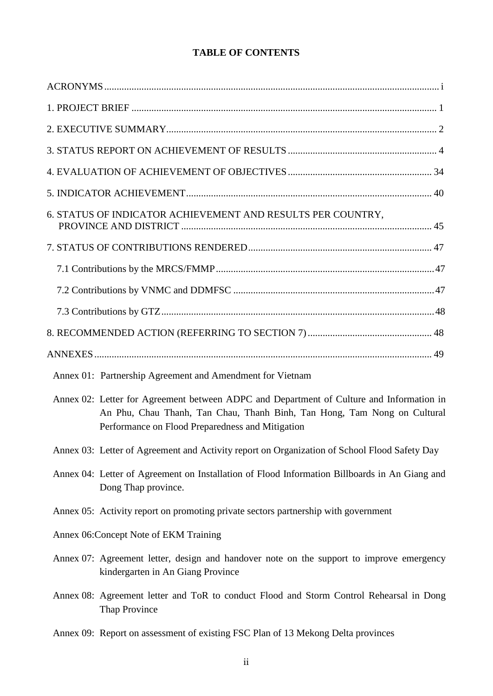# **TABLE OF CONTENTS**

| 6. STATUS OF INDICATOR ACHIEVEMENT AND RESULTS PER COUNTRY,                                                                                                                                                              |
|--------------------------------------------------------------------------------------------------------------------------------------------------------------------------------------------------------------------------|
|                                                                                                                                                                                                                          |
|                                                                                                                                                                                                                          |
|                                                                                                                                                                                                                          |
|                                                                                                                                                                                                                          |
|                                                                                                                                                                                                                          |
|                                                                                                                                                                                                                          |
| Annex 01: Partnership Agreement and Amendment for Vietnam                                                                                                                                                                |
| Annex 02: Letter for Agreement between ADPC and Department of Culture and Information in<br>An Phu, Chau Thanh, Tan Chau, Thanh Binh, Tan Hong, Tam Nong on Cultural<br>Performance on Flood Preparedness and Mitigation |
| Annex 03: Letter of Agreement and Activity report on Organization of School Flood Safety Day                                                                                                                             |
| Annex 04: Letter of Agreement on Installation of Flood Information Billboards in An Giang and<br>Dong Thap province.                                                                                                     |
| Annex 05: Activity report on promoting private sectors partnership with government                                                                                                                                       |
| Annex 06: Concept Note of EKM Training                                                                                                                                                                                   |
| Annex 07: Agreement letter, design and handover note on the support to improve emergency<br>kindergarten in An Giang Province                                                                                            |
| Annex 08: Agreement letter and ToR to conduct Flood and Storm Control Rehearsal in Dong<br><b>Thap Province</b>                                                                                                          |
| Annex 09: Report on assessment of existing FSC Plan of 13 Mekong Delta provinces                                                                                                                                         |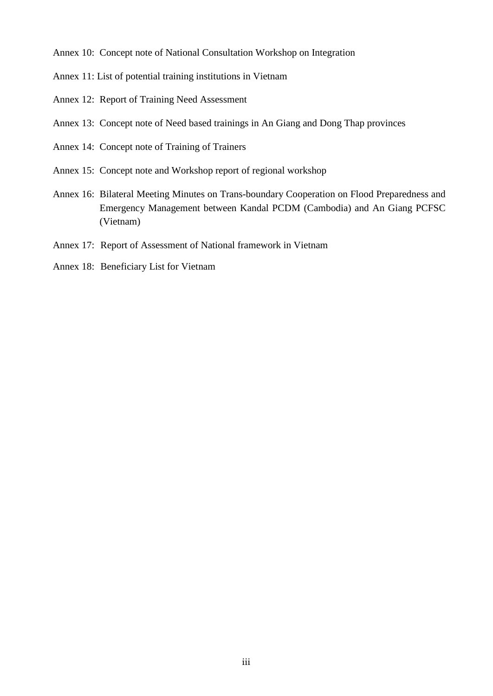Annex 10: Concept note of National Consultation Workshop on Integration

Annex 11: List of potential training institutions in Vietnam

- Annex 12: Report of Training Need Assessment
- Annex 13: Concept note of Need based trainings in An Giang and Dong Thap provinces
- Annex 14: Concept note of Training of Trainers
- Annex 15: Concept note and Workshop report of regional workshop
- Annex 16: Bilateral Meeting Minutes on Trans-boundary Cooperation on Flood Preparedness and Emergency Management between Kandal PCDM (Cambodia) and An Giang PCFSC (Vietnam)
- Annex 17: Report of Assessment of National framework in Vietnam
- Annex 18: Beneficiary List for Vietnam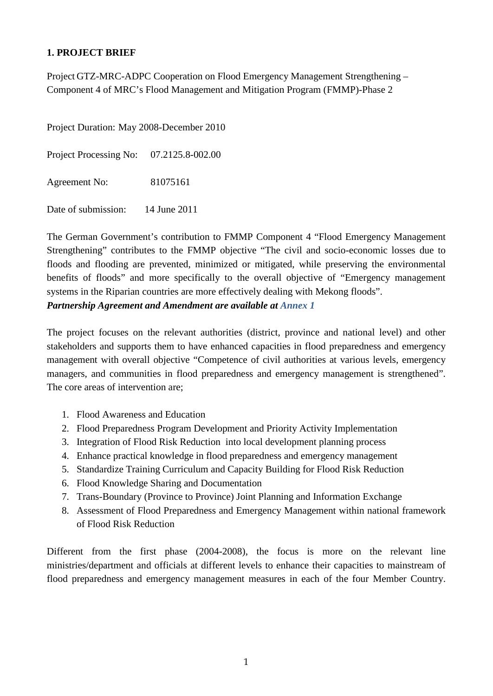# <span id="page-4-0"></span>**1. PROJECT BRIEF**

Project GTZ-MRC-ADPC Cooperation on Flood Emergency Management Strengthening – Component 4 of MRC's Flood Management and Mitigation Program (FMMP)-Phase 2

Project Duration: May 2008-December 2010 Project Processing No: 07.2125.8-002.00

Agreement No: 81075161

Date of submission: 14 June 2011

The German Government's contribution to FMMP Component 4 "Flood Emergency Management Strengthening" contributes to the FMMP objective "The civil and socio-economic losses due to floods and flooding are prevented, minimized or mitigated, while preserving the environmental benefits of floods" and more specifically to the overall objective of "Emergency management systems in the Riparian countries are more effectively dealing with Mekong floods". *Partnership Agreement and Amendment are available at Annex 1*

The project focuses on the relevant authorities (district, province and national level) and other stakeholders and supports them to have enhanced capacities in flood preparedness and emergency management with overall objective "Competence of civil authorities at various levels, emergency managers, and communities in flood preparedness and emergency management is strengthened". The core areas of intervention are;

- 1. Flood Awareness and Education
- 2. Flood Preparedness Program Development and Priority Activity Implementation
- 3. Integration of Flood Risk Reduction into local development planning process
- 4. Enhance practical knowledge in flood preparedness and emergency management
- 5. Standardize Training Curriculum and Capacity Building for Flood Risk Reduction
- 6. Flood Knowledge Sharing and Documentation
- 7. Trans-Boundary (Province to Province) Joint Planning and Information Exchange
- 8. Assessment of Flood Preparedness and Emergency Management within national framework of Flood Risk Reduction

Different from the first phase (2004-2008), the focus is more on the relevant line ministries/department and officials at different levels to enhance their capacities to mainstream of flood preparedness and emergency management measures in each of the four Member Country.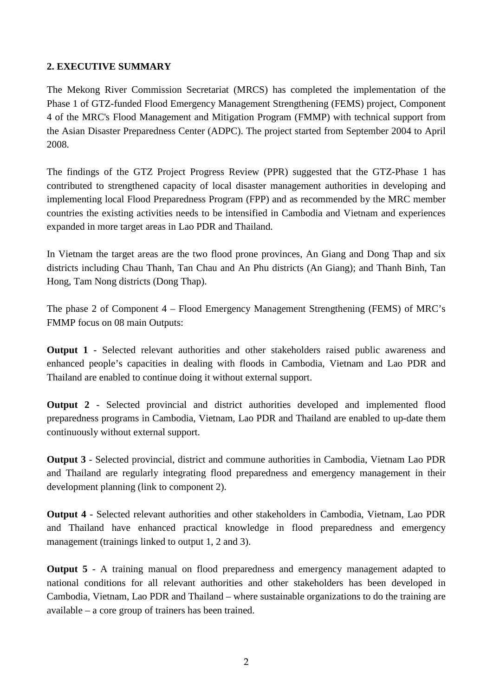# <span id="page-5-0"></span>**2. EXECUTIVE SUMMARY**

The Mekong River Commission Secretariat (MRCS) has completed the implementation of the Phase 1 of GTZ-funded Flood Emergency Management Strengthening (FEMS) project, Component 4 of the MRC's Flood Management and Mitigation Program (FMMP) with technical support from the Asian Disaster Preparedness Center (ADPC). The project started from September 2004 to April 2008.

The findings of the GTZ Project Progress Review (PPR) suggested that the GTZ-Phase 1 has contributed to strengthened capacity of local disaster management authorities in developing and implementing local Flood Preparedness Program (FPP) and as recommended by the MRC member countries the existing activities needs to be intensified in Cambodia and Vietnam and experiences expanded in more target areas in Lao PDR and Thailand.

In Vietnam the target areas are the two flood prone provinces, An Giang and Dong Thap and six districts including Chau Thanh, Tan Chau and An Phu districts (An Giang); and Thanh Binh, Tan Hong, Tam Nong districts (Dong Thap).

The phase 2 of Component 4 – Flood Emergency Management Strengthening (FEMS) of MRC's FMMP focus on 08 main Outputs:

**Output 1** - Selected relevant authorities and other stakeholders raised public awareness and enhanced people's capacities in dealing with floods in Cambodia, Vietnam and Lao PDR and Thailand are enabled to continue doing it without external support.

**Output 2** - Selected provincial and district authorities developed and implemented flood preparedness programs in Cambodia, Vietnam, Lao PDR and Thailand are enabled to up-date them continuously without external support.

**Output 3** - Selected provincial, district and commune authorities in Cambodia, Vietnam Lao PDR and Thailand are regularly integrating flood preparedness and emergency management in their development planning (link to component 2).

**Output 4** - Selected relevant authorities and other stakeholders in Cambodia, Vietnam, Lao PDR and Thailand have enhanced practical knowledge in flood preparedness and emergency management (trainings linked to output 1, 2 and 3).

**Output 5** - A training manual on flood preparedness and emergency management adapted to national conditions for all relevant authorities and other stakeholders has been developed in Cambodia, Vietnam, Lao PDR and Thailand – where sustainable organizations to do the training are available – a core group of trainers has been trained.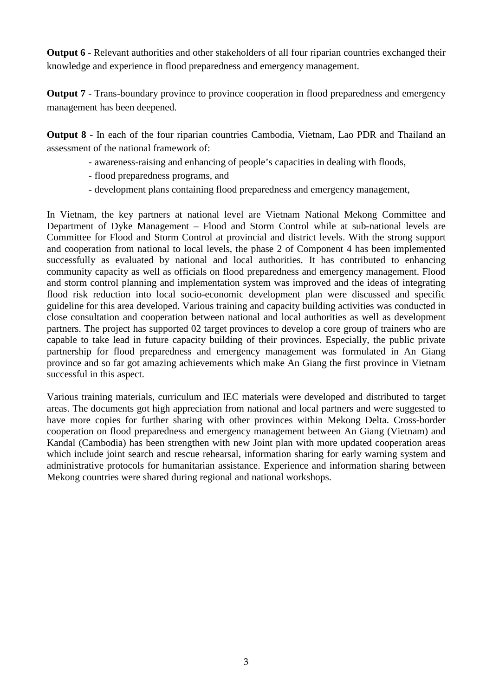**Output 6** - Relevant authorities and other stakeholders of all four riparian countries exchanged their knowledge and experience in flood preparedness and emergency management.

**Output 7** - Trans-boundary province to province cooperation in flood preparedness and emergency management has been deepened.

**Output 8** - In each of the four riparian countries Cambodia, Vietnam, Lao PDR and Thailand an assessment of the national framework of:

- awareness-raising and enhancing of people's capacities in dealing with floods,
- flood preparedness programs, and
- development plans containing flood preparedness and emergency management,

In Vietnam, the key partners at national level are Vietnam National Mekong Committee and Department of Dyke Management – Flood and Storm Control while at sub-national levels are Committee for Flood and Storm Control at provincial and district levels. With the strong support and cooperation from national to local levels, the phase 2 of Component 4 has been implemented successfully as evaluated by national and local authorities. It has contributed to enhancing community capacity as well as officials on flood preparedness and emergency management. Flood and storm control planning and implementation system was improved and the ideas of integrating flood risk reduction into local socio-economic development plan were discussed and specific guideline for this area developed. Various training and capacity building activities was conducted in close consultation and cooperation between national and local authorities as well as development partners. The project has supported 02 target provinces to develop a core group of trainers who are capable to take lead in future capacity building of their provinces. Especially, the public private partnership for flood preparedness and emergency management was formulated in An Giang province and so far got amazing achievements which make An Giang the first province in Vietnam successful in this aspect.

Various training materials, curriculum and IEC materials were developed and distributed to target areas. The documents got high appreciation from national and local partners and were suggested to have more copies for further sharing with other provinces within Mekong Delta. Cross-border cooperation on flood preparedness and emergency management between An Giang (Vietnam) and Kandal (Cambodia) has been strengthen with new Joint plan with more updated cooperation areas which include joint search and rescue rehearsal, information sharing for early warning system and administrative protocols for humanitarian assistance. Experience and information sharing between Mekong countries were shared during regional and national workshops.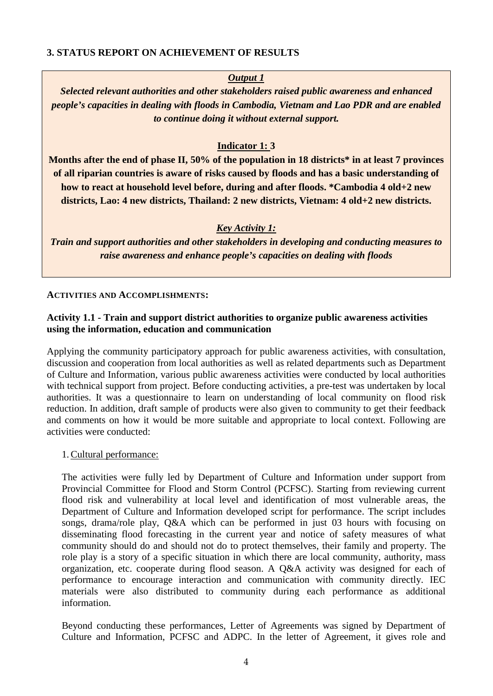## <span id="page-7-0"></span>**3. STATUS REPORT ON ACHIEVEMENT OF RESULTS**

# *Output 1*

*Selected relevant authorities and other stakeholders raised public awareness and enhanced people's capacities in dealing with floods in Cambodia, Vietnam and Lao PDR and are enabled to continue doing it without external support.*

# **Indicator 1: 3**

**Months after the end of phase II, 50% of the population in 18 districts\* in at least 7 provinces of all riparian countries is aware of risks caused by floods and has a basic understanding of how to react at household level before, during and after floods. \*Cambodia 4 old+2 new districts, Lao: 4 new districts, Thailand: 2 new districts, Vietnam: 4 old+2 new districts.**

# *Key Activity 1:*

*Train and support authorities and other stakeholders in developing and conducting measures to raise awareness and enhance people's capacities on dealing with floods*

#### **ACTIVITIES AND ACCOMPLISHMENTS:**

## **Activity 1.1 - Train and support district authorities to organize public awareness activities using the information, education and communication**

Applying the community participatory approach for public awareness activities, with consultation, discussion and cooperation from local authorities as well as related departments such as Department of Culture and Information, various public awareness activities were conducted by local authorities with technical support from project. Before conducting activities, a pre-test was undertaken by local authorities. It was a questionnaire to learn on understanding of local community on flood risk reduction. In addition, draft sample of products were also given to community to get their feedback and comments on how it would be more suitable and appropriate to local context. Following are activities were conducted:

#### 1.Cultural performance:

The activities were fully led by Department of Culture and Information under support from Provincial Committee for Flood and Storm Control (PCFSC). Starting from reviewing current flood risk and vulnerability at local level and identification of most vulnerable areas, the Department of Culture and Information developed script for performance. The script includes songs, drama/role play, Q&A which can be performed in just 03 hours with focusing on disseminating flood forecasting in the current year and notice of safety measures of what community should do and should not do to protect themselves, their family and property. The role play is a story of a specific situation in which there are local community, authority, mass organization, etc. cooperate during flood season. A Q&A activity was designed for each of performance to encourage interaction and communication with community directly. IEC materials were also distributed to community during each performance as additional information.

Beyond conducting these performances, Letter of Agreements was signed by Department of Culture and Information, PCFSC and ADPC. In the letter of Agreement, it gives role and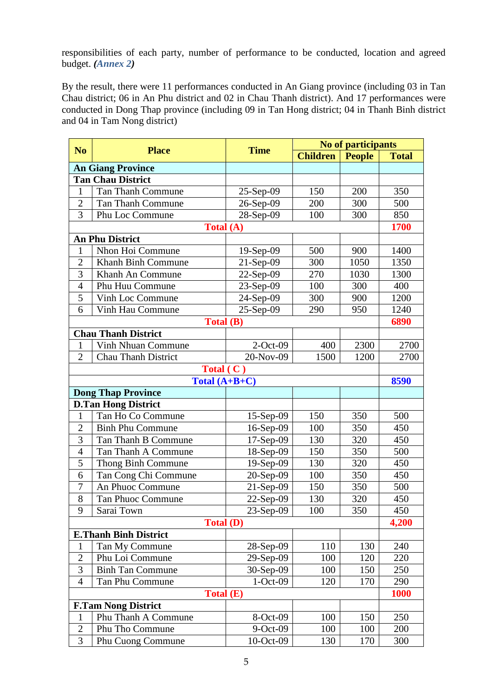responsibilities of each party, number of performance to be conducted, location and agreed budget. *(Annex 2)*

By the result, there were 11 performances conducted in An Giang province (including 03 in Tan Chau district; 06 in An Phu district and 02 in Chau Thanh district). And 17 performances were conducted in Dong Thap province (including 09 in Tan Hong district; 04 in Thanh Binh district and 04 in Tam Nong district)

| N <sub>o</sub> | <b>Place</b>                 | <b>Time</b>    | <b>No of participants</b> |               |              |  |
|----------------|------------------------------|----------------|---------------------------|---------------|--------------|--|
|                |                              |                | <b>Children</b>           | <b>People</b> | <b>Total</b> |  |
|                | <b>An Giang Province</b>     |                |                           |               |              |  |
|                | <b>Tan Chau District</b>     |                |                           |               |              |  |
| 1              | Tan Thanh Commune            | $25-Sep-09$    | 150                       | 200           | 350          |  |
| $\overline{2}$ | <b>Tan Thanh Commune</b>     | 26-Sep-09      | 200                       | 300           | 500          |  |
| 3              | Phu Loc Commune              | 28-Sep-09      | 100                       | 300           | 850          |  |
|                | Total (A)                    |                |                           |               | 1700         |  |
|                | <b>An Phu District</b>       |                |                           |               |              |  |
| 1              | Nhon Hoi Commune             | $19-Sep-09$    | 500                       | 900           | 1400         |  |
| $\overline{2}$ | Khanh Binh Commune           | $21-Sep-09$    | 300                       | 1050          | 1350         |  |
| 3              | Khanh An Commune             | $22-Sep-09$    | 270                       | 1030          | 1300         |  |
| 4              | Phu Huu Commune              | $23-Sep-09$    | 100                       | 300           | 400          |  |
| 5              | Vinh Loc Commune             | 24-Sep-09      | 300                       | 900           | 1200         |  |
| 6              | Vinh Hau Commune             | $25-Sep-09$    | 290                       | 950           | 1240         |  |
|                | Total (B)                    |                |                           |               | 6890         |  |
|                | <b>Chau Thanh District</b>   |                |                           |               |              |  |
| 1              | Vinh Nhuan Commune           | $2$ -Oct-09    | 400                       | 2300          | 2700         |  |
| $\overline{2}$ | <b>Chau Thanh District</b>   | 20-Nov-09      | 1500                      | 1200          | 2700         |  |
|                | <b>Total</b> (               | $\mathbf{C}$ ) |                           |               |              |  |
|                | Total $(A+B+C)$              |                |                           |               | 8590         |  |
|                | <b>Dong Thap Province</b>    |                |                           |               |              |  |
|                | <b>D.Tan Hong District</b>   |                |                           |               |              |  |
| $\mathbf{1}$   | Tan Ho Co Commune            | 15-Sep-09      | 150                       | 350           | 500          |  |
| $\overline{2}$ | <b>Binh Phu Commune</b>      | $16-Sep-09$    | 100                       | 350           | 450          |  |
| 3              | Tan Thanh B Commune          | $17-Sep-09$    | 130                       | 320           | 450          |  |
| $\overline{4}$ | Tan Thanh A Commune          | 18-Sep-09      | 150                       | 350           | 500          |  |
| 5              | Thong Binh Commune           | $19-Sep-09$    | 130                       | 320           | 450          |  |
| 6              | Tan Cong Chi Commune         | 20-Sep-09      | 100                       | 350           | 450          |  |
| 7              | An Phuoc Commune             | $21-Sep-09$    | 150                       | 350           | 500          |  |
| 8              | <b>Tan Phuoc Commune</b>     | 22-Sep-09      | 130                       | 320           | 450          |  |
| 9              | Sarai Town                   | 23-Sep-09      | 100                       | 350           | 450          |  |
|                | <b>Total (D)</b>             |                |                           |               | 4,200        |  |
|                | <b>E.Thanh Binh District</b> |                |                           |               |              |  |
| $\mathbf{1}$   | Tan My Commune               | 28-Sep-09      | 110                       | 130           | 240          |  |
| $\overline{2}$ | Phu Loi Commune              | 29-Sep-09      | 100                       | 120           | 220          |  |
| 3              | <b>Binh Tan Commune</b>      | 30-Sep-09      | 100                       | 150           | 250          |  |
| $\overline{4}$ | Tan Phu Commune              | $1-Oct-09$     | 120                       | 170           | 290          |  |
|                | <b>Total (E)</b>             |                |                           |               | <b>1000</b>  |  |
|                | <b>F.Tam Nong District</b>   |                |                           |               |              |  |
| 1              | Phu Thanh A Commune          | 8-Oct-09       | 100                       | 150           | 250          |  |
| $\overline{2}$ | Phu Tho Commune              | 9-Oct-09       | 100                       | 100           | 200          |  |
| 3              | <b>Phu Cuong Commune</b>     | 10-Oct-09      | 130                       | 170           | 300          |  |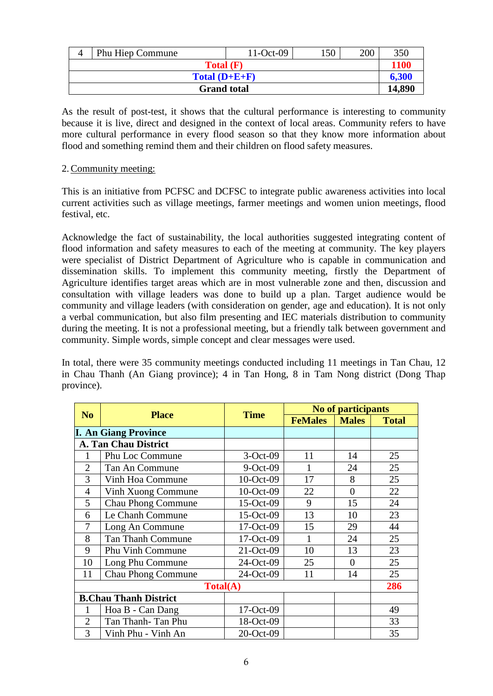|                 | <b>Phu Hiep Commune</b> | $11-Oct-09$ | 150 | 200  | 350   |
|-----------------|-------------------------|-------------|-----|------|-------|
|                 | Total(F)                |             |     | 1100 |       |
| Total $(D+E+F)$ |                         |             |     |      | 6.300 |
|                 | <b>Grand</b> total      |             |     |      |       |

As the result of post-test, it shows that the cultural performance is interesting to community because it is live, direct and designed in the context of local areas. Community refers to have more cultural performance in every flood season so that they know more information about flood and something remind them and their children on flood safety measures.

## 2.Community meeting:

This is an initiative from PCFSC and DCFSC to integrate public awareness activities into local current activities such as village meetings, farmer meetings and women union meetings, flood festival, etc.

Acknowledge the fact of sustainability, the local authorities suggested integrating content of flood information and safety measures to each of the meeting at community. The key players were specialist of District Department of Agriculture who is capable in communication and dissemination skills. To implement this community meeting, firstly the Department of Agriculture identifies target areas which are in most vulnerable zone and then, discussion and consultation with village leaders was done to build up a plan. Target audience would be community and village leaders (with consideration on gender, age and education). It is not only a verbal communication, but also film presenting and IEC materials distribution to community during the meeting. It is not a professional meeting, but a friendly talk between government and community. Simple words, simple concept and clear messages were used.

In total, there were 35 community meetings conducted including 11 meetings in Tan Chau, 12 in Chau Thanh (An Giang province); 4 in Tan Hong, 8 in Tam Nong district (Dong Thap province).

| N <sub>o</sub>               | <b>Place</b>                | <b>Time</b>  | No of participants |                |              |  |
|------------------------------|-----------------------------|--------------|--------------------|----------------|--------------|--|
|                              |                             |              | <b>FeMales</b>     | <b>Males</b>   | <b>Total</b> |  |
|                              | <b>I. An Giang Province</b> |              |                    |                |              |  |
|                              | A. Tan Chau District        |              |                    |                |              |  |
|                              | Phu Loc Commune             | $3-Oct-09$   | 11                 | 14             | 25           |  |
| $\overline{2}$               | Tan An Commune              | $9-Oct-09$   | 1                  | 24             | 25           |  |
| 3                            | Vinh Hoa Commune            | 10-Oct-09    | 17                 | 8              | 25           |  |
| $\overline{4}$               | Vinh Xuong Commune          | $10$ -Oct-09 | 22                 | $\overline{0}$ | 22           |  |
| 5                            | <b>Chau Phong Commune</b>   | $15-Oct-09$  | 9                  | 15             | 24           |  |
| 6                            | Le Chanh Commune            | $15-Oct-09$  | 13                 | 10             | 23           |  |
| 7                            | Long An Commune             | 17-Oct-09    | 15                 | 29             | 44           |  |
| 8                            | <b>Tan Thanh Commune</b>    | 17-Oct-09    |                    | 24             | 25           |  |
| 9                            | <b>Phu Vinh Commune</b>     | $21-Oct-09$  | 10                 | 13             | 23           |  |
| 10                           | Long Phu Commune            | 24-Oct-09    | 25                 | $\theta$       | 25           |  |
| 11                           | <b>Chau Phong Commune</b>   | 24-Oct-09    | 11                 | 14             | 25           |  |
| Total(A)                     |                             |              |                    |                | 286          |  |
| <b>B.Chau Thanh District</b> |                             |              |                    |                |              |  |
|                              | Hoa B - Can Dang            | 17-Oct-09    |                    |                | 49           |  |
| $\overline{2}$               | Tan Thanh-Tan Phu           | 18-Oct-09    |                    |                | 33           |  |
| 3                            | Vinh Phu - Vinh An          | 20-Oct-09    |                    |                | 35           |  |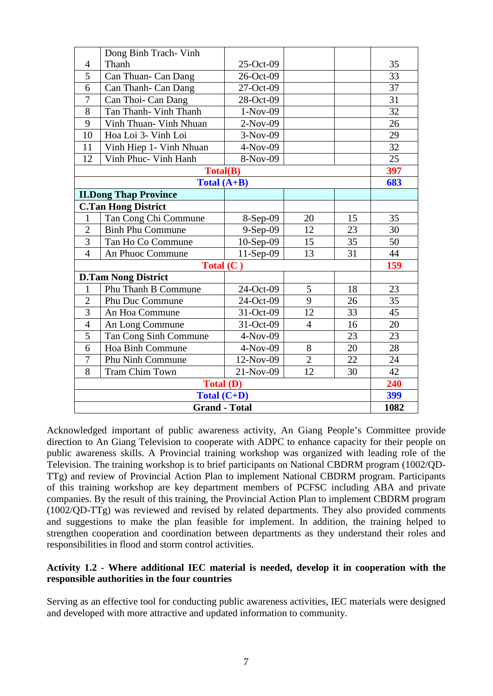|                              | Dong Binh Trach- Vinh      |             |                |     |                 |
|------------------------------|----------------------------|-------------|----------------|-----|-----------------|
| $\overline{4}$               | Thanh                      | 25-Oct-09   |                |     | 35              |
| $\overline{5}$               | Can Thuan- Can Dang        | 26-Oct-09   |                |     | 33              |
| 6                            | Can Thanh- Can Dang        | 27-Oct-09   |                |     | 37              |
| 7                            | Can Thoi- Can Dang         | 28-Oct-09   |                |     | 31              |
| 8                            | Tan Thanh- Vinh Thanh      | $1-Nov-09$  |                |     | 32              |
| 9                            | Vinh Thuan- Vinh Nhuan     | $2-Nov-09$  |                |     | 26              |
| 10                           | Hoa Loi 3- Vinh Loi        | $3-Nov-09$  |                |     | 29              |
| 11                           | Vinh Hiep 1- Vinh Nhuan    | 4-Nov-09    |                |     | $\overline{32}$ |
| 12                           | Vinh Phuc- Vinh Hanh       | 8-Nov-09    |                |     | 25              |
|                              | <b>Total(B)</b>            |             |                |     | 397             |
|                              | Total $(A+B)$              |             |                |     | 683             |
| <b>II.Dong Thap Province</b> |                            |             |                |     |                 |
|                              | <b>C.Tan Hong District</b> |             |                |     |                 |
| $\mathbf{1}$                 | Tan Cong Chi Commune       | 8-Sep-09    | 20             | 15  | 35              |
| $\overline{2}$               | <b>Binh Phu Commune</b>    | 9-Sep-09    | 12             | 23  | 30              |
| $\overline{3}$               | Tan Ho Co Commune          | 10-Sep-09   | 15             | 35  | 50              |
| $\overline{4}$               | An Phuoc Commune           | $11-Sep-09$ | 13             | 31  | 44              |
| Total $(C)$                  |                            |             |                | 159 |                 |
|                              | <b>D.Tam Nong District</b> |             |                |     |                 |
| $\mathbf{1}$                 | Phu Thanh B Commune        | 24-Oct-09   | 5              | 18  | 23              |
| $\overline{2}$               | Phu Duc Commune            | 24-Oct-09   | 9              | 26  | 35              |
| $\overline{3}$               | An Hoa Commune             | 31-Oct-09   | 12             | 33  | 45              |
| $\overline{4}$               | An Long Commune            | 31-Oct-09   | $\overline{4}$ | 16  | 20              |
| 5                            | Tan Cong Sinh Commune      | 4-Nov-09    |                | 23  | 23              |
| 6                            | Hoa Binh Commune           | $4-Nov-09$  | 8              | 20  | 28              |
| 7                            | Phu Ninh Commune           | 12-Nov-09   | $\overline{2}$ | 22  | 24              |
| 8                            | <b>Tram Chim Town</b>      | 21-Nov-09   | 12             | 30  | 42              |
| <b>Total (D)</b>             |                            |             |                | 240 |                 |
| Total (C+D)                  |                            |             |                |     | 399             |
| <b>Grand - Total</b>         |                            |             |                |     | 1082            |

Acknowledged important of public awareness activity, An Giang People's Committee provide direction to An Giang Television to cooperate with ADPC to enhance capacity for their people on public awareness skills. A Provincial training workshop was organized with leading role of the Television. The training workshop is to brief participants on National CBDRM program (1002/QD-TTg) and review of Provincial Action Plan to implement National CBDRM program. Participants of this training workshop are key department members of PCFSC including ABA and private companies. By the result of this training, the Provincial Action Plan to implement CBDRM program (1002/QD-TTg) was reviewed and revised by related departments. They also provided comments and suggestions to make the plan feasible for implement. In addition, the training helped to strengthen cooperation and coordination between departments as they understand their roles and responsibilities in flood and storm control activities.

# **Activity 1.2 - Where additional IEC material is needed, develop it in cooperation with the responsible authorities in the four countries**

Serving as an effective tool for conducting public awareness activities, IEC materials were designed and developed with more attractive and updated information to community.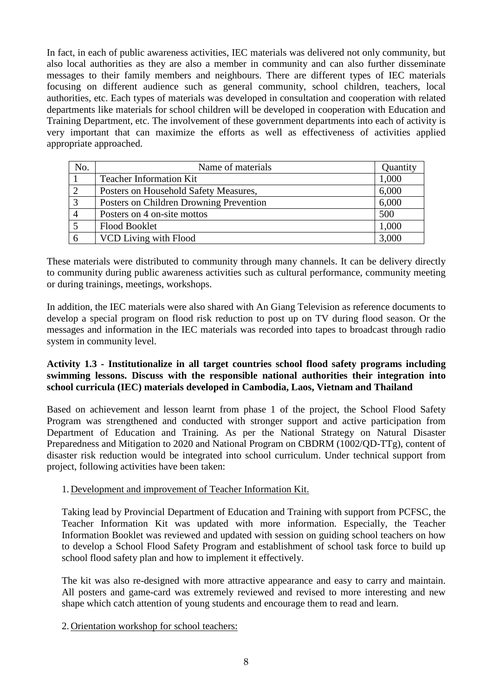In fact, in each of public awareness activities, IEC materials was delivered not only community, but also local authorities as they are also a member in community and can also further disseminate messages to their family members and neighbours. There are different types of IEC materials focusing on different audience such as general community, school children, teachers, local authorities, etc. Each types of materials was developed in consultation and cooperation with related departments like materials for school children will be developed in cooperation with Education and Training Department, etc. The involvement of these government departments into each of activity is very important that can maximize the efforts as well as effectiveness of activities applied appropriate approached.

| No. | Name of materials                       | Quantity |
|-----|-----------------------------------------|----------|
|     | <b>Teacher Information Kit</b>          | 1,000    |
|     | Posters on Household Safety Measures,   | 6,000    |
|     | Posters on Children Drowning Prevention | 6,000    |
|     | Posters on 4 on-site mottos             | 500      |
|     | <b>Flood Booklet</b>                    | 1,000    |
|     | VCD Living with Flood                   | 3,000    |

These materials were distributed to community through many channels. It can be delivery directly to community during public awareness activities such as cultural performance, community meeting or during trainings, meetings, workshops.

In addition, the IEC materials were also shared with An Giang Television as reference documents to develop a special program on flood risk reduction to post up on TV during flood season. Or the messages and information in the IEC materials was recorded into tapes to broadcast through radio system in community level.

# **Activity 1.3 - Institutionalize in all target countries school flood safety programs including swimming lessons. Discuss with the responsible national authorities their integration into school curricula (IEC) materials developed in Cambodia, Laos, Vietnam and Thailand**

Based on achievement and lesson learnt from phase 1 of the project, the School Flood Safety Program was strengthened and conducted with stronger support and active participation from Department of Education and Training. As per the National Strategy on Natural Disaster Preparedness and Mitigation to 2020 and National Program on CBDRM (1002/QD-TTg), content of disaster risk reduction would be integrated into school curriculum. Under technical support from project, following activities have been taken:

# 1. Development and improvement of Teacher Information Kit.

Taking lead by Provincial Department of Education and Training with support from PCFSC, the Teacher Information Kit was updated with more information. Especially, the Teacher Information Booklet was reviewed and updated with session on guiding school teachers on how to develop a School Flood Safety Program and establishment of school task force to build up school flood safety plan and how to implement it effectively.

The kit was also re-designed with more attractive appearance and easy to carry and maintain. All posters and game-card was extremely reviewed and revised to more interesting and new shape which catch attention of young students and encourage them to read and learn.

2. Orientation workshop for school teachers: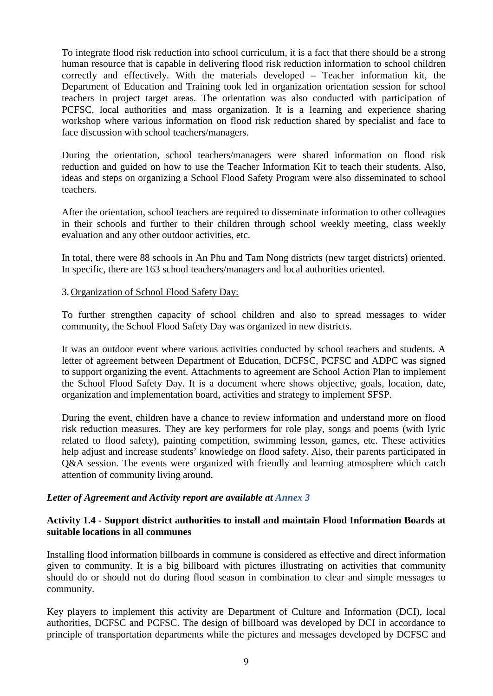To integrate flood risk reduction into school curriculum, it is a fact that there should be a strong human resource that is capable in delivering flood risk reduction information to school children correctly and effectively. With the materials developed – Teacher information kit, the Department of Education and Training took led in organization orientation session for school teachers in project target areas. The orientation was also conducted with participation of PCFSC, local authorities and mass organization. It is a learning and experience sharing workshop where various information on flood risk reduction shared by specialist and face to face discussion with school teachers/managers.

During the orientation, school teachers/managers were shared information on flood risk reduction and guided on how to use the Teacher Information Kit to teach their students. Also, ideas and steps on organizing a School Flood Safety Program were also disseminated to school teachers.

After the orientation, school teachers are required to disseminate information to other colleagues in their schools and further to their children through school weekly meeting, class weekly evaluation and any other outdoor activities, etc.

In total, there were 88 schools in An Phu and Tam Nong districts (new target districts) oriented. In specific, there are 163 school teachers/managers and local authorities oriented.

3. Organization of School Flood Safety Day:

To further strengthen capacity of school children and also to spread messages to wider community, the School Flood Safety Day was organized in new districts.

It was an outdoor event where various activities conducted by school teachers and students. A letter of agreement between Department of Education, DCFSC, PCFSC and ADPC was signed to support organizing the event. Attachments to agreement are School Action Plan to implement the School Flood Safety Day. It is a document where shows objective, goals, location, date, organization and implementation board, activities and strategy to implement SFSP.

During the event, children have a chance to review information and understand more on flood risk reduction measures. They are key performers for role play, songs and poems (with lyric related to flood safety), painting competition, swimming lesson, games, etc. These activities help adjust and increase students' knowledge on flood safety. Also, their parents participated in Q&A session. The events were organized with friendly and learning atmosphere which catch attention of community living around.

# *Letter of Agreement and Activity report are available at Annex 3*

## **Activity 1.4 - Support district authorities to install and maintain Flood Information Boards at suitable locations in all communes**

Installing flood information billboards in commune is considered as effective and direct information given to community. It is a big billboard with pictures illustrating on activities that community should do or should not do during flood season in combination to clear and simple messages to community.

Key players to implement this activity are Department of Culture and Information (DCI), local authorities, DCFSC and PCFSC. The design of billboard was developed by DCI in accordance to principle of transportation departments while the pictures and messages developed by DCFSC and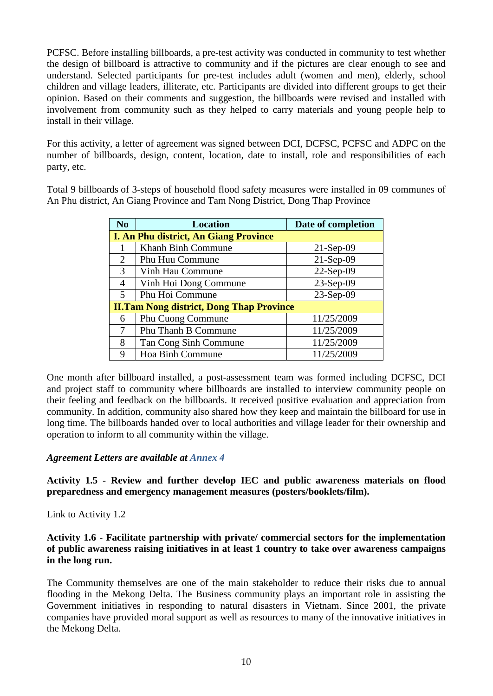PCFSC. Before installing billboards, a pre-test activity was conducted in community to test whether the design of billboard is attractive to community and if the pictures are clear enough to see and understand. Selected participants for pre-test includes adult (women and men), elderly, school children and village leaders, illiterate, etc. Participants are divided into different groups to get their opinion. Based on their comments and suggestion, the billboards were revised and installed with involvement from community such as they helped to carry materials and young people help to install in their village.

For this activity, a letter of agreement was signed between DCI, DCFSC, PCFSC and ADPC on the number of billboards, design, content, location, date to install, role and responsibilities of each party, etc.

Total 9 billboards of 3-steps of household flood safety measures were installed in 09 communes of An Phu district, An Giang Province and Tam Nong District, Dong Thap Province

| N <sub>o</sub> | <b>Location</b>                                 | Date of completion |
|----------------|-------------------------------------------------|--------------------|
|                | <b>I. An Phu district, An Giang Province</b>    |                    |
|                | Khanh Binh Commune                              | $21-Sep-09$        |
| 2              | Phu Huu Commune                                 | $21-Sep-09$        |
| 3              | Vinh Hau Commune                                | 22-Sep-09          |
| 4              | Vinh Hoi Dong Commune                           | 23-Sep-09          |
| $\mathfrak{H}$ | Phu Hoi Commune                                 | 23-Sep-09          |
|                | <b>II.Tam Nong district, Dong Thap Province</b> |                    |
| 6              | Phu Cuong Commune                               | 11/25/2009         |
| 7              | <b>Phu Thanh B Commune</b>                      | 11/25/2009         |
| 8              | Tan Cong Sinh Commune                           | 11/25/2009         |
| 9              | Hoa Binh Commune                                | 11/25/2009         |

One month after billboard installed, a post-assessment team was formed including DCFSC, DCI and project staff to community where billboards are installed to interview community people on their feeling and feedback on the billboards. It received positive evaluation and appreciation from community. In addition, community also shared how they keep and maintain the billboard for use in long time. The billboards handed over to local authorities and village leader for their ownership and operation to inform to all community within the village.

# *Agreement Letters are available at Annex 4*

**Activity 1.5 - Review and further develop IEC and public awareness materials on flood preparedness and emergency management measures (posters/booklets/film).**

#### Link to Activity 1.2

**Activity 1.6 - Facilitate partnership with private/ commercial sectors for the implementation of public awareness raising initiatives in at least 1 country to take over awareness campaigns in the long run.**

The Community themselves are one of the main stakeholder to reduce their risks due to annual flooding in the Mekong Delta. The Business community plays an important role in assisting the Government initiatives in responding to natural disasters in Vietnam. Since 2001, the private companies have provided moral support as well as resources to many of the innovative initiatives in the Mekong Delta.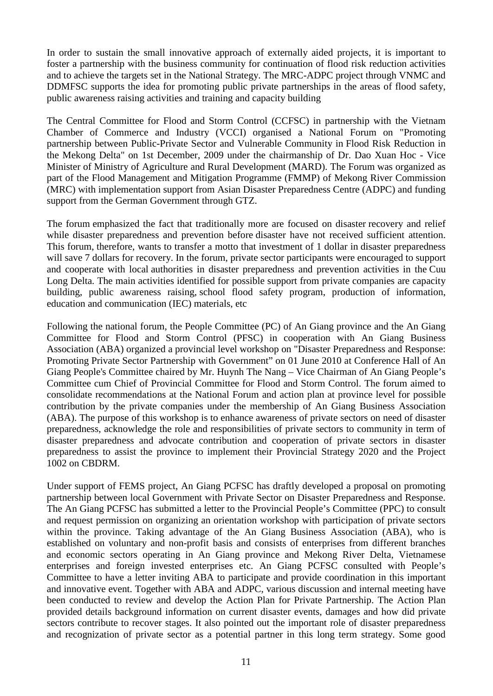In order to sustain the small innovative approach of externally aided projects, it is important to foster a partnership with the business community for continuation of flood risk reduction activities and to achieve the targets set in the National Strategy. The MRC-ADPC project through VNMC and DDMFSC supports the idea for promoting public private partnerships in the areas of flood safety, public awareness raising activities and training and capacity building

The Central Committee for Flood and Storm Control (CCFSC) in partnership with the Vietnam Chamber of Commerce and Industry (VCCI) organised a National Forum on "Promoting partnership between Public-Private Sector and Vulnerable Community in Flood Risk Reduction in the Mekong Delta" on 1st December, 2009 under the chairmanship of Dr. Dao Xuan Hoc - Vice Minister of Ministry of Agriculture and Rural Development (MARD). The Forum was organized as part of the Flood Management and Mitigation Programme (FMMP) of Mekong River Commission (MRC) with implementation support from Asian Disaster Preparedness Centre (ADPC) and funding support from the German Government through GTZ.

The forum emphasized the fact that traditionally more are focused on disaster recovery and relief while disaster preparedness and prevention before disaster have not received sufficient attention. This forum, therefore, wants to transfer a motto that investment of 1 dollar in disaster preparedness will save 7 dollars for recovery. In the forum, private sector participants were encouraged to support and cooperate with local authorities in disaster preparedness and prevention activities in the Cuu Long Delta. The main activities identified for possible support from private companies are capacity building, public awareness raising, school flood safety program, production of information, education and communication (IEC) materials, etc

Following the national forum, the People Committee (PC) of An Giang province and the An Giang Committee for Flood and Storm Control (PFSC) in cooperation with An Giang Business Association (ABA) organized a provincial level workshop on "Disaster Preparedness and Response: Promoting Private Sector Partnership with Government" on 01 June 2010 at Conference Hall of An Giang People's Committee chaired by Mr. Huynh The Nang – Vice Chairman of An Giang People's Committee cum Chief of Provincial Committee for Flood and Storm Control. The forum aimed to consolidate recommendations at the National Forum and action plan at province level for possible contribution by the private companies under the membership of An Giang Business Association (ABA). The purpose of this workshop is to enhance awareness of private sectors on need of disaster preparedness, acknowledge the role and responsibilities of private sectors to community in term of disaster preparedness and advocate contribution and cooperation of private sectors in disaster preparedness to assist the province to implement their Provincial Strategy 2020 and the Project 1002 on CBDRM.

Under support of FEMS project, An Giang PCFSC has draftly developed a proposal on promoting partnership between local Government with Private Sector on Disaster Preparedness and Response. The An Giang PCFSC has submitted a letter to the Provincial People's Committee (PPC) to consult and request permission on organizing an orientation workshop with participation of private sectors within the province. Taking advantage of the An Giang Business Association (ABA), who is established on voluntary and non-profit basis and consists of enterprises from different branches and economic sectors operating in An Giang province and Mekong River Delta, Vietnamese enterprises and foreign invested enterprises etc. An Giang PCFSC consulted with People's Committee to have a letter inviting ABA to participate and provide coordination in this important and innovative event. Together with ABA and ADPC, various discussion and internal meeting have been conducted to review and develop the Action Plan for Private Partnership. The Action Plan provided details background information on current disaster events, damages and how did private sectors contribute to recover stages. It also pointed out the important role of disaster preparedness and recognization of private sector as a potential partner in this long term strategy. Some good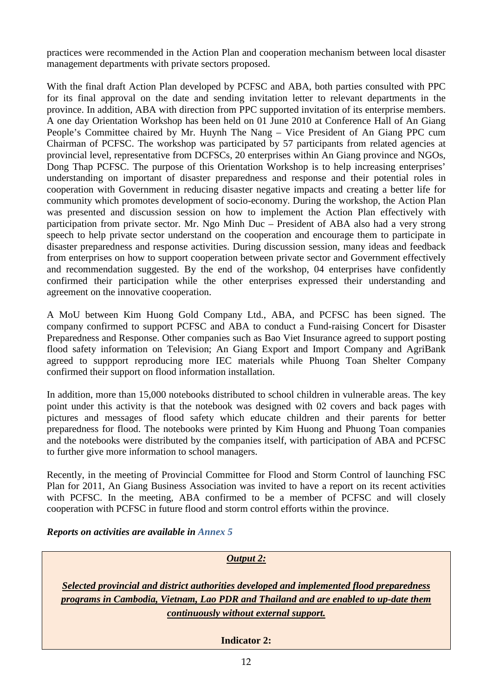practices were recommended in the Action Plan and cooperation mechanism between local disaster management departments with private sectors proposed.

With the final draft Action Plan developed by PCFSC and ABA, both parties consulted with PPC for its final approval on the date and sending invitation letter to relevant departments in the province. In addition, ABA with direction from PPC supported invitation of its enterprise members. A one day Orientation Workshop has been held on 01 June 2010 at Conference Hall of An Giang People's Committee chaired by Mr. Huynh The Nang – Vice President of An Giang PPC cum Chairman of PCFSC. The workshop was participated by 57 participants from related agencies at provincial level, representative from DCFSCs, 20 enterprises within An Giang province and NGOs, Dong Thap PCFSC. The purpose of this Orientation Workshop is to help increasing enterprises' understanding on important of disaster preparedness and response and their potential roles in cooperation with Government in reducing disaster negative impacts and creating a better life for community which promotes development of socio-economy. During the workshop, the Action Plan was presented and discussion session on how to implement the Action Plan effectively with participation from private sector. Mr. Ngo Minh Duc – President of ABA also had a very strong speech to help private sector understand on the cooperation and encourage them to participate in disaster preparedness and response activities. During discussion session, many ideas and feedback from enterprises on how to support cooperation between private sector and Government effectively and recommendation suggested. By the end of the workshop, 04 enterprises have confidently confirmed their participation while the other enterprises expressed their understanding and agreement on the innovative cooperation.

A MoU between Kim Huong Gold Company Ltd., ABA, and PCFSC has been signed. The company confirmed to support PCFSC and ABA to conduct a Fund-raising Concert for Disaster Preparedness and Response. Other companies such as Bao Viet Insurance agreed to support posting flood safety information on Television; An Giang Export and Import Company and AgriBank agreed to suppport reproducing more IEC materials while Phuong Toan Shelter Company confirmed their support on flood information installation.

In addition, more than 15,000 notebooks distributed to school children in vulnerable areas. The key point under this activity is that the notebook was designed with 02 covers and back pages with pictures and messages of flood safety which educate children and their parents for better preparedness for flood. The notebooks were printed by Kim Huong and Phuong Toan companies and the notebooks were distributed by the companies itself, with participation of ABA and PCFSC to further give more information to school managers.

Recently, in the meeting of Provincial Committee for Flood and Storm Control of launching FSC Plan for 2011, An Giang Business Association was invited to have a report on its recent activities with PCFSC. In the meeting, ABA confirmed to be a member of PCFSC and will closely cooperation with PCFSC in future flood and storm control efforts within the province.

# *Reports on activities are available in Annex 5*

| <b>Output 2:</b>                                                                                                                                                                                                           |  |  |  |  |
|----------------------------------------------------------------------------------------------------------------------------------------------------------------------------------------------------------------------------|--|--|--|--|
| Selected provincial and district authorities developed and implemented flood preparedness<br>programs in Cambodia, Vietnam, Lao PDR and Thailand and are enabled to up-date them<br>continuously without external support. |  |  |  |  |
| <b>Indicator 2:</b>                                                                                                                                                                                                        |  |  |  |  |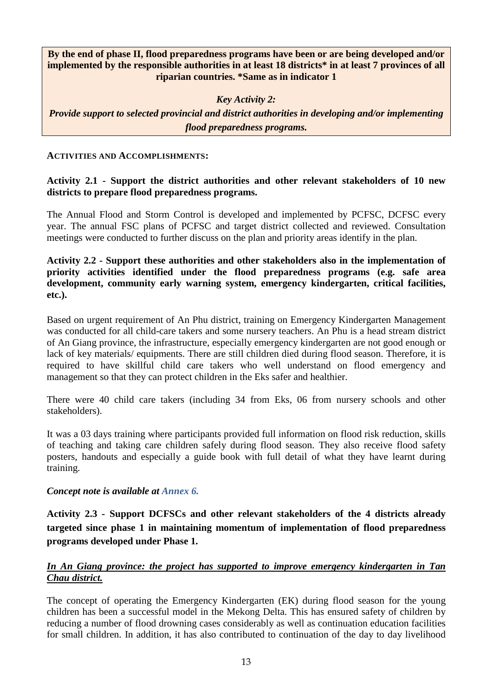**By the end of phase II, flood preparedness programs have been or are being developed and/or implemented by the responsible authorities in at least 18 districts\* in at least 7 provinces of all riparian countries. \*Same as in indicator 1**

*Key Activity 2:*

*Provide support to selected provincial and district authorities in developing and/or implementing flood preparedness programs.*

## **ACTIVITIES AND ACCOMPLISHMENTS:**

# **Activity 2.1 - Support the district authorities and other relevant stakeholders of 10 new districts to prepare flood preparedness programs.**

The Annual Flood and Storm Control is developed and implemented by PCFSC, DCFSC every year. The annual FSC plans of PCFSC and target district collected and reviewed. Consultation meetings were conducted to further discuss on the plan and priority areas identify in the plan.

**Activity 2.2 - Support these authorities and other stakeholders also in the implementation of priority activities identified under the flood preparedness programs (e.g. safe area development, community early warning system, emergency kindergarten, critical facilities, etc.).**

Based on urgent requirement of An Phu district, training on Emergency Kindergarten Management was conducted for all child-care takers and some nursery teachers. An Phu is a head stream district of An Giang province, the infrastructure, especially emergency kindergarten are not good enough or lack of key materials/ equipments. There are still children died during flood season. Therefore, it is required to have skillful child care takers who well understand on flood emergency and management so that they can protect children in the Eks safer and healthier.

There were 40 child care takers (including 34 from Eks, 06 from nursery schools and other stakeholders).

It was a 03 days training where participants provided full information on flood risk reduction, skills of teaching and taking care children safely during flood season. They also receive flood safety posters, handouts and especially a guide book with full detail of what they have learnt during training.

# *Concept note is available at Annex 6.*

**Activity 2.3 - Support DCFSCs and other relevant stakeholders of the 4 districts already targeted since phase 1 in maintaining momentum of implementation of flood preparedness programs developed under Phase 1.**

# *In An Giang province: the project has supported to improve emergency kindergarten in Tan Chau district.*

The concept of operating the Emergency Kindergarten (EK) during flood season for the young children has been a successful model in the Mekong Delta. This has ensured safety of children by reducing a number of flood drowning cases considerably as well as continuation education facilities for small children. In addition, it has also contributed to continuation of the day to day livelihood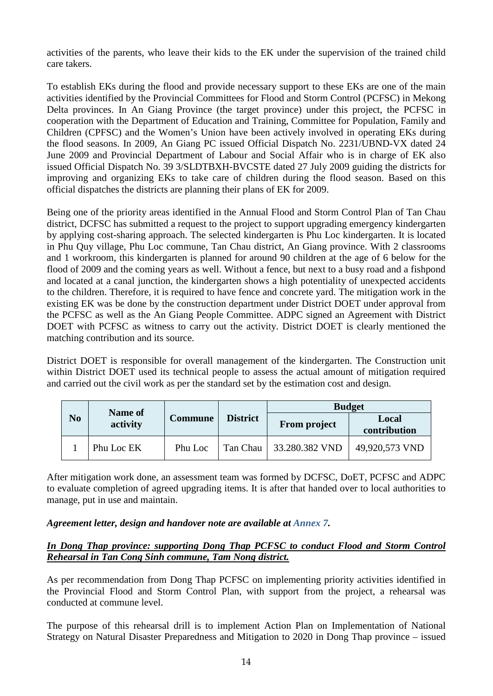activities of the parents, who leave their kids to the EK under the supervision of the trained child care takers.

To establish EKs during the flood and provide necessary support to these EKs are one of the main activities identified by the Provincial Committees for Flood and Storm Control (PCFSC) in Mekong Delta provinces. In An Giang Province (the target province) under this project, the PCFSC in cooperation with the Department of Education and Training, Committee for Population, Family and Children (CPFSC) and the Women's Union have been actively involved in operating EKs during the flood seasons. In 2009, An Giang PC issued Official Dispatch No. 2231/UBND-VX dated 24 June 2009 and Provincial Department of Labour and Social Affair who is in charge of EK also issued Official Dispatch No. 39 3/SLDTBXH-BVCSTE dated 27 July 2009 guiding the districts for improving and organizing EKs to take care of children during the flood season. Based on this official dispatches the districts are planning their plans of EK for 2009.

Being one of the priority areas identified in the Annual Flood and Storm Control Plan of Tan Chau district, DCFSC has submitted a request to the project to support upgrading emergency kindergarten by applying cost-sharing approach. The selected kindergarten is Phu Loc kindergarten. It is located in Phu Quy village, Phu Loc commune, Tan Chau district, An Giang province. With 2 classrooms and 1 workroom, this kindergarten is planned for around 90 children at the age of 6 below for the flood of 2009 and the coming years as well. Without a fence, but next to a busy road and a fishpond and located at a canal junction, the kindergarten shows a high potentiality of unexpected accidents to the children. Therefore, it is required to have fence and concrete yard. The mitigation work in the existing EK was be done by the construction department under District DOET under approval from the PCFSC as well as the An Giang People Committee. ADPC signed an Agreement with District DOET with PCFSC as witness to carry out the activity. District DOET is clearly mentioned the matching contribution and its source.

District DOET is responsible for overall management of the kindergarten. The Construction unit within District DOET used its technical people to assess the actual amount of mitigation required and carried out the civil work as per the standard set by the estimation cost and design.

|                | Name of    |                |                 | <b>Budget</b>       |                       |  |
|----------------|------------|----------------|-----------------|---------------------|-----------------------|--|
| N <sub>0</sub> | activity   | <b>Commune</b> | <b>District</b> | <b>From project</b> | Local<br>contribution |  |
|                | Phu Loc EK | Phu Loc        | Tan Chau        | 33.280.382 VND      | 49,920,573 VND        |  |

After mitigation work done, an assessment team was formed by DCFSC, DoET, PCFSC and ADPC to evaluate completion of agreed upgrading items. It is after that handed over to local authorities to manage, put in use and maintain.

# *Agreement letter, design and handover note are available at Annex 7.*

# *In Dong Thap province: supporting Dong Thap PCFSC to conduct Flood and Storm Control Rehearsal in Tan Cong Sinh commune, Tam Nong district.*

As per recommendation from Dong Thap PCFSC on implementing priority activities identified in the Provincial Flood and Storm Control Plan, with support from the project, a rehearsal was conducted at commune level.

The purpose of this rehearsal drill is to implement Action Plan on Implementation of National Strategy on Natural Disaster Preparedness and Mitigation to 2020 in Dong Thap province – issued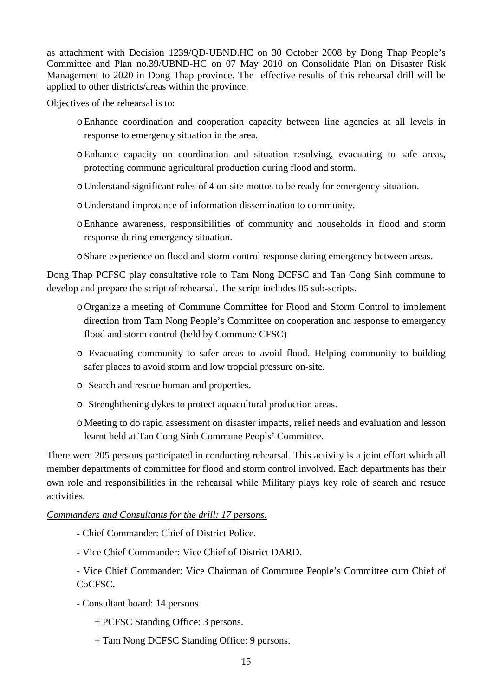as attachment with Decision 1239/QD-UBND.HC on 30 October 2008 by Dong Thap People's Committee and Plan no.39/UBND-HC on 07 May 2010 on Consolidate Plan on Disaster Risk Management to 2020 in Dong Thap province. The effective results of this rehearsal drill will be applied to other districts/areas within the province.

Objectives of the rehearsal is to:

- oEnhance coordination and cooperation capacity between line agencies at all levels in response to emergency situation in the area.
- oEnhance capacity on coordination and situation resolving, evacuating to safe areas, protecting commune agricultural production during flood and storm.
- o Understand significant roles of 4 on-site mottos to be ready for emergency situation.
- o Understand improtance of information dissemination to community.
- oEnhance awareness, responsibilities of community and households in flood and storm response during emergency situation.
- oShare experience on flood and storm control response during emergency between areas.

Dong Thap PCFSC play consultative role to Tam Nong DCFSC and Tan Cong Sinh commune to develop and prepare the script of rehearsal. The script includes 05 sub-scripts.

- o Organize a meeting of Commune Committee for Flood and Storm Control to implement direction from Tam Nong People's Committee on cooperation and response to emergency flood and storm control (held by Commune CFSC)
- o Evacuating community to safer areas to avoid flood. Helping community to building safer places to avoid storm and low tropcial pressure on-site.
- o Search and rescue human and properties.
- o Strenghthening dykes to protect aquacultural production areas.
- o Meeting to do rapid assessment on disaster impacts, relief needs and evaluation and lesson learnt held at Tan Cong Sinh Commune Peopls' Committee.

There were 205 persons participated in conducting rehearsal. This activity is a joint effort which all member departments of committee for flood and storm control involved. Each departments has their own role and responsibilities in the rehearsal while Military plays key role of search and resuce activities.

# *Commanders and Consultants for the drill: 17 persons.*

- Chief Commander: Chief of District Police.
- Vice Chief Commander: Vice Chief of District DARD.

- Vice Chief Commander: Vice Chairman of Commune People's Committee cum Chief of CoCFSC.

- Consultant board: 14 persons.
	- + PCFSC Standing Office: 3 persons.
	- + Tam Nong DCFSC Standing Office: 9 persons.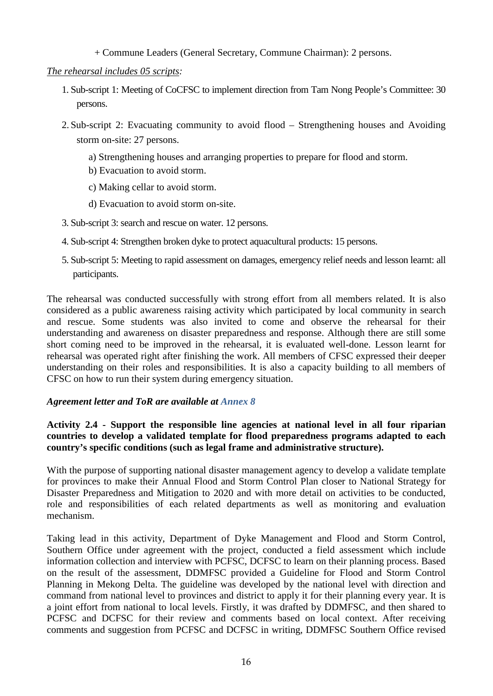+ Commune Leaders (General Secretary, Commune Chairman): 2 persons.

# *The rehearsal includes 05 scripts :*

- 1. Sub-script 1: Meeting of CoCFSC to implement direction from Tam Nong People's Committee: 30 persons.
- 2. Sub-script 2: Evacuating community to avoid flood Strengthening houses and Avoiding storm on-site: 27 persons.
	- a) Strengthening houses and arranging properties to prepare for flood and storm.
	- b) Evacuation to avoid storm.
	- c) Making cellar to avoid storm.
	- d) Evacuation to avoid storm on-site.
- 3. Sub-script 3: search and rescue on water. 12 persons.
- 4. Sub-script 4: Strengthen broken dyke to protect aquacultural products: 15 persons.
- 5. Sub-script 5: Meeting to rapid assessment on damages, emergency relief needs and lesson learnt: all participants.

The rehearsal was conducted successfully with strong effort from all members related. It is also considered as a public awareness raising activity which participated by local community in search and rescue. Some students was also invited to come and observe the rehearsal for their understanding and awareness on disaster preparedness and response. Although there are still some short coming need to be improved in the rehearsal, it is evaluated well-done. Lesson learnt for rehearsal was operated right after finishing the work. All members of CFSC expressed their deeper understanding on their roles and responsibilities. It is also a capacity building to all members of CFSC on how to run their system during emergency situation.

# *Agreement letter and ToR are available at Annex 8*

# **Activity 2.4 - Support the responsible line agencies at national level in all four riparian countries to develop a validated template for flood preparedness programs adapted to each country's specific conditions (such as legal frame and administrative structure).**

With the purpose of supporting national disaster management agency to develop a validate template for provinces to make their Annual Flood and Storm Control Plan closer to National Strategy for Disaster Preparedness and Mitigation to 2020 and with more detail on activities to be conducted, role and responsibilities of each related departments as well as monitoring and evaluation mechanism.

Taking lead in this activity, Department of Dyke Management and Flood and Storm Control, Southern Office under agreement with the project, conducted a field assessment which include information collection and interview with PCFSC, DCFSC to learn on their planning process. Based on the result of the assessment, DDMFSC provided a Guideline for Flood and Storm Control Planning in Mekong Delta. The guideline was developed by the national level with direction and command from national level to provinces and district to apply it for their planning every year. It is a joint effort from national to local levels. Firstly, it was drafted by DDMFSC, and then shared to PCFSC and DCFSC for their review and comments based on local context. After receiving comments and suggestion from PCFSC and DCFSC in writing, DDMFSC Southern Office revised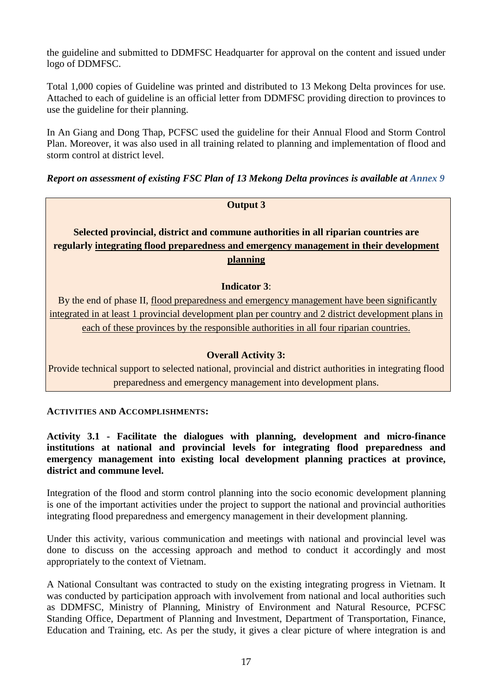the guideline and submitted to DDMFSC Headquarter for approval on the content and issued under logo of DDMFSC.

Total 1,000 copies of Guideline was printed and distributed to 13 Mekong Delta provinces for use. Attached to each of guideline is an official letter from DDMFSC providing direction to provinces to use the guideline for their planning.

In An Giang and Dong Thap, PCFSC used the guideline for their Annual Flood and Storm Control Plan. Moreover, it was also used in all training related to planning and implementation of flood and storm control at district level.

*Report on assessment of existing FSC Plan of 13 Mekong Delta provinces is available at Annex 9*

# **Output 3**

# **Selected provincial, district and commune authorities in all riparian countries are regularly integrating flood preparedness and emergency management in their development planning**

## **Indicator 3**:

By the end of phase II, flood preparedness and emergency management have been significantly integrated in at least 1 provincial development plan per country and 2 district development plans in each of these provinces by the responsible authorities in all four riparian countries.

# **Overall Activity 3:**

Provide technical support to selected national, provincial and district authorities in integrating flood preparedness and emergency management into development plans.

**ACTIVITIES AND ACCOMPLISHMENTS:**

**Activity 3.1 - Facilitate the dialogues with planning, development and micro-finance institutions at national and provincial levels for integrating flood preparedness and emergency management into existing local development planning practices at province, district and commune level.**

Integration of the flood and storm control planning into the socio economic development planning is one of the important activities under the project to support the national and provincial authorities integrating flood preparedness and emergency management in their development planning.

Under this activity, various communication and meetings with national and provincial level was done to discuss on the accessing approach and method to conduct it accordingly and most appropriately to the context of Vietnam.

A National Consultant was contracted to study on the existing integrating progress in Vietnam. It was conducted by participation approach with involvement from national and local authorities such as DDMFSC, Ministry of Planning, Ministry of Environment and Natural Resource, PCFSC Standing Office, Department of Planning and Investment, Department of Transportation, Finance, Education and Training, etc. As per the study, it gives a clear picture of where integration is and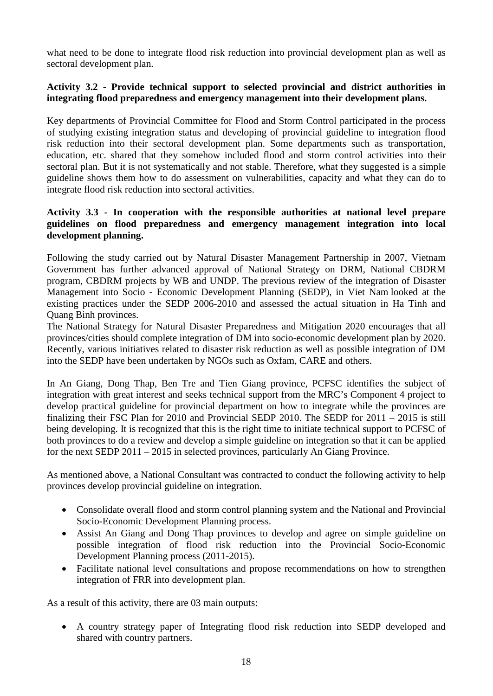what need to be done to integrate flood risk reduction into provincial development plan as well as sectoral development plan.

## **Activity 3.2 - Provide technical support to selected provincial and district authorities in integrating flood preparedness and emergency management into their development plans.**

Key departments of Provincial Committee for Flood and Storm Control participated in the process of studying existing integration status and developing of provincial guideline to integration flood risk reduction into their sectoral development plan. Some departments such as transportation, education, etc. shared that they somehow included flood and storm control activities into their sectoral plan. But it is not systematically and not stable. Therefore, what they suggested is a simple guideline shows them how to do assessment on vulnerabilities, capacity and what they can do to integrate flood risk reduction into sectoral activities.

# **Activity 3.3 - In cooperation with the responsible authorities at national level prepare guidelines on flood preparedness and emergency management integration into local development planning.**

Following the study carried out by Natural Disaster Management Partnership in 2007, Vietnam Government has further advanced approval of National Strategy on DRM, National CBDRM program, CBDRM projects by WB and UNDP. The previous review of the integration of Disaster Management into Socio - Economic Development Planning (SEDP), in Viet Nam looked at the existing practices under the SEDP 2006-2010 and assessed the actual situation in Ha Tinh and Quang Binh provinces.

The National Strategy for Natural Disaster Preparedness and Mitigation 2020 encourages that all provinces/cities should complete integration of DM into socio-economic development plan by 2020. Recently, various initiatives related to disaster risk reduction as well as possible integration of DM into the SEDP have been undertaken by NGOs such as Oxfam, CARE and others.

In An Giang, Dong Thap, Ben Tre and Tien Giang province, PCFSC identifies the subject of integration with great interest and seeks technical support from the MRC's Component 4 project to develop practical guideline for provincial department on how to integrate while the provinces are finalizing their FSC Plan for 2010 and Provincial SEDP 2010. The SEDP for 2011 – 2015 is still being developing. It is recognized that this is the right time to initiate technical support to PCFSC of both provinces to do a review and develop a simple guideline on integration so that it can be applied for the next SEDP 2011 – 2015 in selected provinces, particularly An Giang Province.

As mentioned above, a National Consultant was contracted to conduct the following activity to help provinces develop provincial guideline on integration.

- Consolidate overall flood and storm control planning system and the National and Provincial Socio-Economic Development Planning process.
- Assist An Giang and Dong Thap provinces to develop and agree on simple guideline on possible integration of flood risk reduction into the Provincial Socio-Economic Development Planning process (2011-2015).
- Facilitate national level consultations and propose recommendations on how to strengthen integration of FRR into development plan.

As a result of this activity, there are 03 main outputs:

• A country strategy paper of Integrating flood risk reduction into SEDP developed and shared with country partners.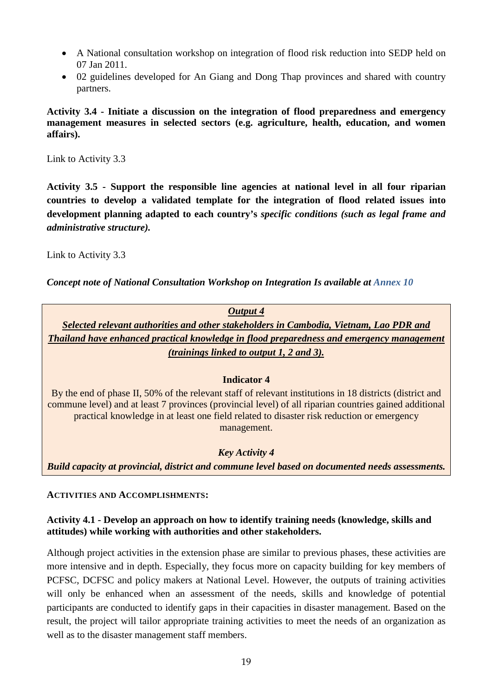- A National consultation workshop on integration of flood risk reduction into SEDP held on 07 Jan 2011.
- 02 guidelines developed for An Giang and Dong Thap provinces and shared with country partners.

**Activity 3.4 - Initiate a discussion on the integration of flood preparedness and emergency management measures in selected sectors (e.g. agriculture, health, education, and women affairs).**

Link to Activity 3.3

**Activity 3.5 - Support the responsible line agencies at national level in all four riparian countries to develop a validated template for the integration of flood related issues into development planning adapted to each country's** *specific conditions (such as legal frame and administrative structure).*

Link to Activity 3.3

*Concept note of National Consultation Workshop on Integration Is available at Annex 10*

*Output 4 Selected relevant authorities and other stakeholders in Cambodia, Vietnam, Lao PDR and Thailand have enhanced practical knowledge in flood preparedness and emergency management (trainings linked to output 1, 2 and 3).* **Indicator 4** By the end of phase II, 50% of the relevant staff of relevant institutions in 18 districts (district and commune level) and at least 7 provinces (provincial level) of all riparian countries gained additional practical knowledge in at least one field related to disaster risk reduction or emergency management. *Key Activity 4*

*Build capacity at provincial, district and commune level based on documented needs assessments.*

#### **ACTIVITIES AND ACCOMPLISHMENTS:**

# **Activity 4.1 - Develop an approach on how to identify training needs (knowledge, skills and attitudes) while working with authorities and other stakeholders.**

Although project activities in the extension phase are similar to previous phases, these activities are more intensive and in depth. Especially, they focus more on capacity building for key members of PCFSC, DCFSC and policy makers at National Level. However, the outputs of training activities will only be enhanced when an assessment of the needs, skills and knowledge of potential participants are conducted to identify gaps in their capacities in disaster management. Based on the result, the project will tailor appropriate training activities to meet the needs of an organization as well as to the disaster management staff members.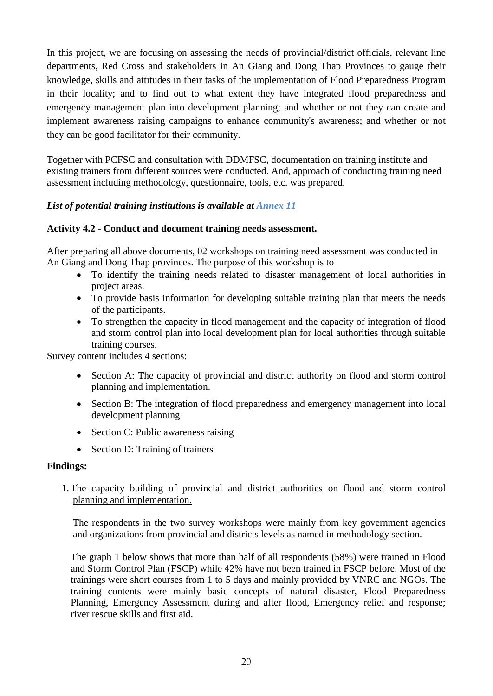In this project, we are focusing on assessing the needs of provincial/district officials, relevant line departments, Red Cross and stakeholders in An Giang and Dong Thap Provinces to gauge their knowledge, skills and attitudes in their tasks of the implementation of Flood Preparedness Program in their locality; and to find out to what extent they have integrated flood preparedness and emergency management plan into development planning; and whether or not they can create and implement awareness raising campaigns to enhance community's awareness; and whether or not they can be good facilitator for their community.

Together with PCFSC and consultation with DDMFSC, documentation on training institute and existing trainers from different sources were conducted. And, approach of conducting training need assessment including methodology, questionnaire, tools, etc. was prepared.

# *List of potential training institutions is available at Annex 11*

# **Activity 4.2 - Conduct and document training needs assessment.**

After preparing all above documents, 02 workshops on training need assessment was conducted in An Giang and Dong Thap provinces. The purpose of this workshop is to

- To identify the training needs related to disaster management of local authorities in project areas.
- To provide basis information for developing suitable training plan that meets the needs of the participants.
- To strengthen the capacity in flood management and the capacity of integration of flood and storm control plan into local development plan for local authorities through suitable training courses.

Survey content includes 4 sections:

- Section A: The capacity of provincial and district authority on flood and storm control planning and implementation.
- Section B: The integration of flood preparedness and emergency management into local development planning
- Section C: Public awareness raising
- Section D: Training of trainers

# **Findings:**

1.The capacity building of provincial and district authorities on flood and storm control planning and implementation.

The respondents in the two survey workshops were mainly from key government agencies and organizations from provincial and districts levels as named in methodology section.

The graph 1 below shows that more than half of all respondents (58%) were trained in Flood and Storm Control Plan (FSCP) while 42% have not been trained in FSCP before. Most of the trainings were short courses from 1 to 5 days and mainly provided by VNRC and NGOs. The training contents were mainly basic concepts of natural disaster, Flood Preparedness Planning, Emergency Assessment during and after flood, Emergency relief and response; river rescue skills and first aid.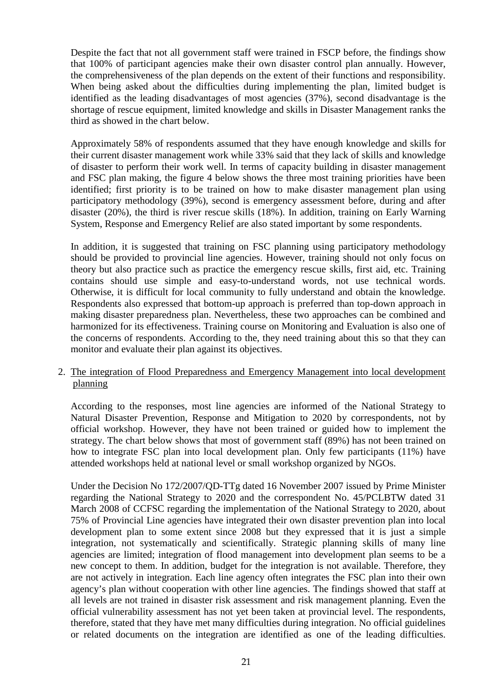Despite the fact that not all government staff were trained in FSCP before, the findings show that 100% of participant agencies make their own disaster control plan annually. However, the comprehensiveness of the plan depends on the extent of their functions and responsibility. When being asked about the difficulties during implementing the plan, limited budget is identified as the leading disadvantages of most agencies (37%), second disadvantage is the shortage of rescue equipment, limited knowledge and skills in Disaster Management ranks the third as showed in the chart below.

Approximately 58% of respondents assumed that they have enough knowledge and skills for their current disaster management work while 33% said that they lack of skills and knowledge of disaster to perform their work well. In terms of capacity building in disaster management and FSC plan making, the figure 4 below shows the three most training priorities have been identified; first priority is to be trained on how to make disaster management plan using participatory methodology (39%), second is emergency assessment before, during and after disaster (20%), the third is river rescue skills (18%). In addition, training on Early Warning System, Response and Emergency Relief are also stated important by some respondents.

In addition, it is suggested that training on FSC planning using participatory methodology should be provided to provincial line agencies. However, training should not only focus on theory but also practice such as practice the emergency rescue skills, first aid, etc. Training contains should use simple and easy-to-understand words, not use technical words. Otherwise, it is difficult for local community to fully understand and obtain the knowledge. Respondents also expressed that bottom-up approach is preferred than top-down approach in making disaster preparedness plan. Nevertheless, these two approaches can be combined and harmonized for its effectiveness. Training course on Monitoring and Evaluation is also one of the concerns of respondents. According to the, they need training about this so that they can monitor and evaluate their plan against its objectives.

## 2. The integration of Flood Preparedness and Emergency Management into local development planning

According to the responses, most line agencies are informed of the National Strategy to Natural Disaster Prevention, Response and Mitigation to 2020 by correspondents, not by official workshop. However, they have not been trained or guided how to implement the strategy. The chart below shows that most of government staff (89%) has not been trained on how to integrate FSC plan into local development plan. Only few participants (11%) have attended workshops held at national level or small workshop organized by NGOs.

Under the Decision No 172/2007/QD-TTg dated 16 November 2007 issued by Prime Minister regarding the National Strategy to 2020 and the correspondent No. 45/PCLBTW dated 31 March 2008 of CCFSC regarding the implementation of the National Strategy to 2020, about 75% of Provincial Line agencies have integrated their own disaster prevention plan into local development plan to some extent since 2008 but they expressed that it is just a simple integration, not systematically and scientifically. Strategic planning skills of many line agencies are limited; integration of flood management into development plan seems to be a new concept to them. In addition, budget for the integration is not available. Therefore, they are not actively in integration. Each line agency often integrates the FSC plan into their own agency's plan without cooperation with other line agencies. The findings showed that staff at all levels are not trained in disaster risk assessment and risk management planning. Even the official vulnerability assessment has not yet been taken at provincial level. The respondents, therefore, stated that they have met many difficulties during integration. No official guidelines or related documents on the integration are identified as one of the leading difficulties.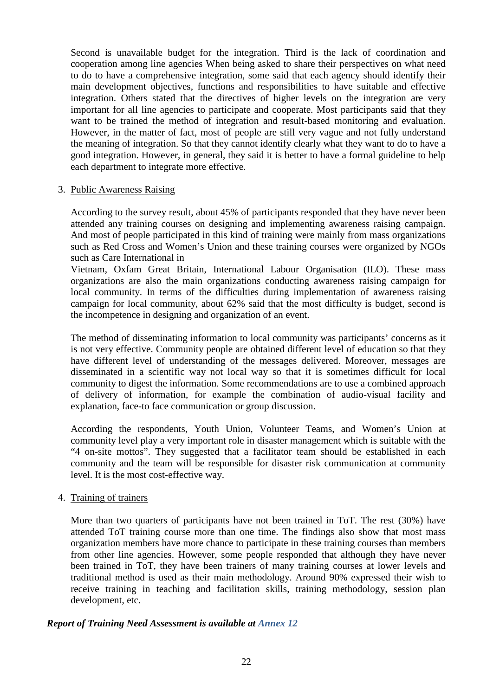Second is unavailable budget for the integration. Third is the lack of coordination and cooperation among line agencies When being asked to share their perspectives on what need to do to have a comprehensive integration, some said that each agency should identify their main development objectives, functions and responsibilities to have suitable and effective integration. Others stated that the directives of higher levels on the integration are very important for all line agencies to participate and cooperate. Most participants said that they want to be trained the method of integration and result-based monitoring and evaluation. However, in the matter of fact, most of people are still very vague and not fully understand the meaning of integration. So that they cannot identify clearly what they want to do to have a good integration. However, in general, they said it is better to have a formal guideline to help each department to integrate more effective.

#### 3. Public Awareness Raising

According to the survey result, about 45% of participants responded that they have never been attended any training courses on designing and implementing awareness raising campaign. And most of people participated in this kind of training were mainly from mass organizations such as Red Cross and Women's Union and these training courses were organized by NGOs such as Care International in

Vietnam, Oxfam Great Britain, International Labour Organisation (ILO). These mass organizations are also the main organizations conducting awareness raising campaign for local community. In terms of the difficulties during implementation of awareness raising campaign for local community, about 62% said that the most difficulty is budget, second is the incompetence in designing and organization of an event.

The method of disseminating information to local community was participants' concerns as it is not very effective. Community people are obtained different level of education so that they have different level of understanding of the messages delivered. Moreover, messages are disseminated in a scientific way not local way so that it is sometimes difficult for local community to digest the information. Some recommendations are to use a combined approach of delivery of information, for example the combination of audio-visual facility and explanation, face-to face communication or group discussion.

According the respondents, Youth Union, Volunteer Teams, and Women's Union at community level play a very important role in disaster management which is suitable with the "4 on-site mottos". They suggested that a facilitator team should be established in each community and the team will be responsible for disaster risk communication at community level. It is the most cost-effective way.

#### 4. Training of trainers

More than two quarters of participants have not been trained in ToT. The rest (30%) have attended ToT training course more than one time. The findings also show that most mass organization members have more chance to participate in these training courses than members from other line agencies. However, some people responded that although they have never been trained in ToT, they have been trainers of many training courses at lower levels and traditional method is used as their main methodology. Around 90% expressed their wish to receive training in teaching and facilitation skills, training methodology, session plan development, etc.

#### *Report of Training Need Assessment is available at Annex 12*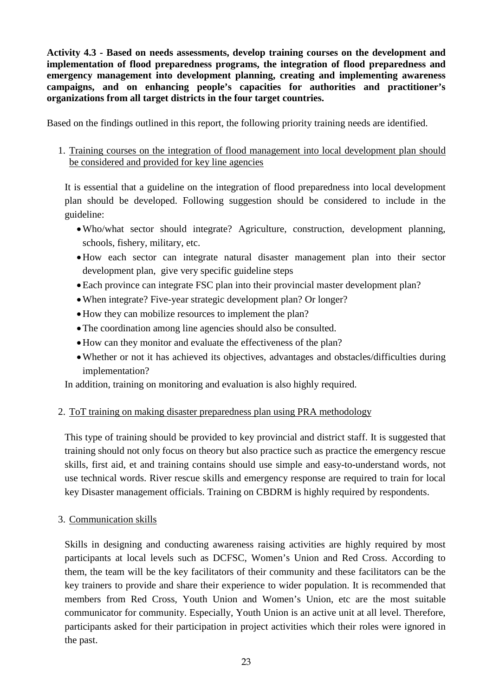**Activity 4.3 - Based on needs assessments, develop training courses on the development and implementation of flood preparedness programs, the integration of flood preparedness and emergency management into development planning, creating and implementing awareness campaigns, and on enhancing people's capacities for authorities and practitioner's organizations from all target districts in the four target countries.**

Based on the findings outlined in this report, the following priority training needs are identified.

1. Training courses on the integration of flood management into local development plan should be considered and provided for key line agencies

It is essential that a guideline on the integration of flood preparedness into local development plan should be developed. Following suggestion should be considered to include in the guideline:

- •Who/what sector should integrate? Agriculture, construction, development planning, schools, fishery, military, etc.
- •How each sector can integrate natural disaster management plan into their sector development plan, give very specific guideline steps
- •Each province can integrate FSC plan into their provincial master development plan?
- •When integrate? Five-year strategic development plan? Or longer?
- How they can mobilize resources to implement the plan?
- •The coordination among line agencies should also be consulted.
- •How can they monitor and evaluate the effectiveness of the plan?
- Whether or not it has achieved its objectives, advantages and obstacles/difficulties during implementation?

In addition, training on monitoring and evaluation is also highly required.

# 2. ToT training on making disaster preparedness plan using PRA methodology

This type of training should be provided to key provincial and district staff. It is suggested that training should not only focus on theory but also practice such as practice the emergency rescue skills, first aid, et and training contains should use simple and easy-to-understand words, not use technical words. River rescue skills and emergency response are required to train for local key Disaster management officials. Training on CBDRM is highly required by respondents.

# 3. Communication skills

Skills in designing and conducting awareness raising activities are highly required by most participants at local levels such as DCFSC, Women's Union and Red Cross. According to them, the team will be the key facilitators of their community and these facilitators can be the key trainers to provide and share their experience to wider population. It is recommended that members from Red Cross, Youth Union and Women's Union, etc are the most suitable communicator for community. Especially, Youth Union is an active unit at all level. Therefore, participants asked for their participation in project activities which their roles were ignored in the past.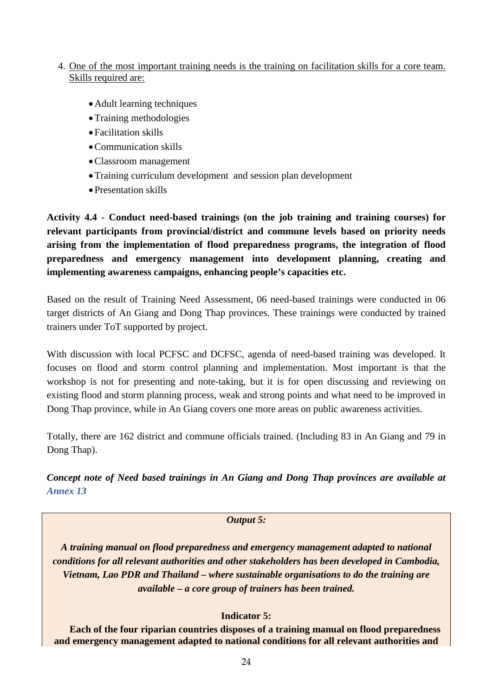# 4. One of the most important training needs is the training on facilitation skills for a core team. Skills required are:

- •Adult learning techniques
- Training methodologies
- Facilitation skills
- •Communication skills
- •Classroom management
- •Training curriculum development and session plan development
- Presentation skills

**Activity 4.4 - Conduct need-based trainings (on the job training and training courses) for relevant participants from provincial/district and commune levels based on priority needs arising from the implementation of flood preparedness programs, the integration of flood preparedness and emergency management into development planning, creating and implementing awareness campaigns, enhancing people's capacities etc.**

Based on the result of Training Need Assessment, 06 need-based trainings were conducted in 06 target districts of An Giang and Dong Thap provinces. These trainings were conducted by trained trainers under ToT supported by project.

With discussion with local PCFSC and DCFSC, agenda of need-based training was developed. It focuses on flood and storm control planning and implementation. Most important is that the workshop is not for presenting and note-taking, but it is for open discussing and reviewing on existing flood and storm planning process, weak and strong points and what need to be improved in Dong Thap province, while in An Giang covers one more areas on public awareness activities.

Totally, there are 162 district and commune officials trained. (Including 83 in An Giang and 79 in Dong Thap).

*Concept note of Need based trainings in An Giang and Dong Thap provinces are available at Annex 13*

#### *Output 5:*

*A training manual on flood preparedness and emergency management adapted to national conditions for all relevant authorities and other stakeholders has been developed in Cambodia, Vietnam, Lao PDR and Thailand – where sustainable organisations to do the training are available – a core group of trainers has been trained.*

# **Indicator 5:**

**Each of the four riparian countries disposes of a training manual on flood preparedness and emergency management adapted to national conditions for all relevant authorities and**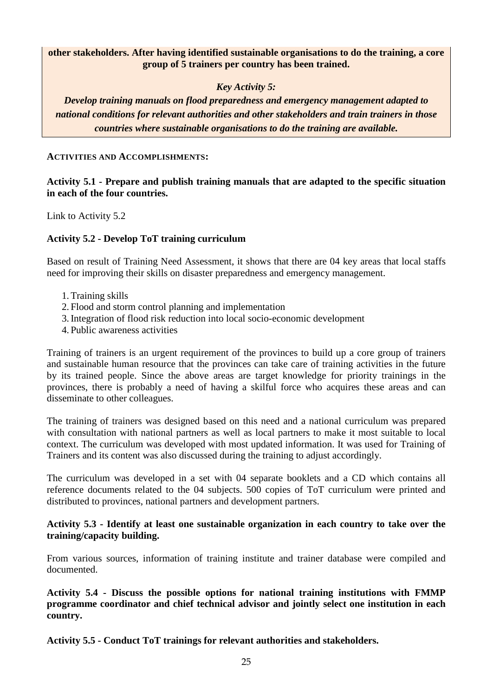# **other stakeholders. After having identified sustainable organisations to do the training, a core group of 5 trainers per country has been trained.**

# *Key Activity 5:*

*Develop training manuals on flood preparedness and emergency management adapted to national conditions for relevant authorities and other stakeholders and train trainers in those countries where sustainable organisations to do the training are available.*

#### **ACTIVITIES AND ACCOMPLISHMENTS:**

# **Activity 5.1 - Prepare and publish training manuals that are adapted to the specific situation in each of the four countries.**

Link to Activity 5.2

# **Activity 5.2 - Develop ToT training curriculum**

Based on result of Training Need Assessment, it shows that there are 04 key areas that local staffs need for improving their skills on disaster preparedness and emergency management.

- 1.Training skills
- 2. Flood and storm control planning and implementation
- 3.Integration of flood risk reduction into local socio-economic development
- 4. Public awareness activities

Training of trainers is an urgent requirement of the provinces to build up a core group of trainers and sustainable human resource that the provinces can take care of training activities in the future by its trained people. Since the above areas are target knowledge for priority trainings in the provinces, there is probably a need of having a skilful force who acquires these areas and can disseminate to other colleagues.

The training of trainers was designed based on this need and a national curriculum was prepared with consultation with national partners as well as local partners to make it most suitable to local context. The curriculum was developed with most updated information. It was used for Training of Trainers and its content was also discussed during the training to adjust accordingly.

The curriculum was developed in a set with 04 separate booklets and a CD which contains all reference documents related to the 04 subjects. 500 copies of ToT curriculum were printed and distributed to provinces, national partners and development partners.

## **Activity 5.3 - Identify at least one sustainable organization in each country to take over the training/capacity building.**

From various sources, information of training institute and trainer database were compiled and documented.

**Activity 5.4 - Discuss the possible options for national training institutions with FMMP programme coordinator and chief technical advisor and jointly select one institution in each country.**

**Activity 5.5 - Conduct ToT trainings for relevant authorities and stakeholders.**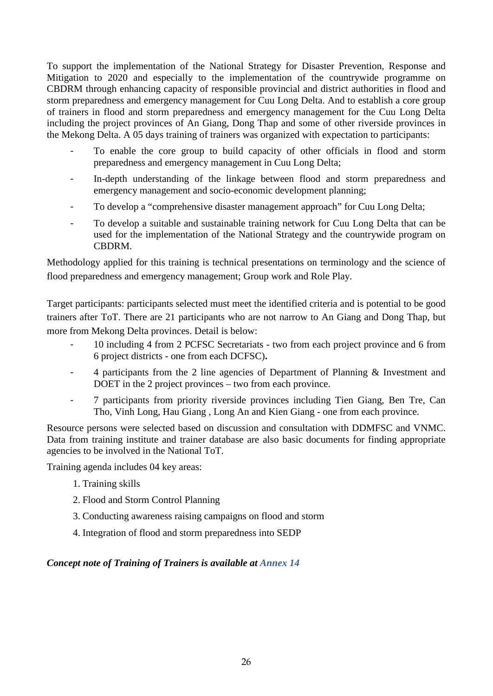To support the implementation of the National Strategy for Disaster Prevention, Response and Mitigation to 2020 and especially to the implementation of the countrywide programme on CBDRM through enhancing capacity of responsible provincial and district authorities in flood and storm preparedness and emergency management for Cuu Long Delta. And to establish a core group of trainers in flood and storm preparedness and emergency management for the Cuu Long Delta including the project provinces of An Giang, Dong Thap and some of other riverside provinces in the Mekong Delta. A 05 days training of trainers was organized with expectation to participants:

- To enable the core group to build capacity of other officials in flood and storm preparedness and emergency management in Cuu Long Delta;
- In-depth understanding of the linkage between flood and storm preparedness and emergency management and socio-economic development planning;
- To develop a "comprehensive disaster management approach" for Cuu Long Delta;
- To develop a suitable and sustainable training network for Cuu Long Delta that can be used for the implementation of the National Strategy and the countrywide program on CBDRM.

Methodology applied for this training is technical presentations on terminology and the science of flood preparedness and emergency management; Group work and Role Play.

Target participants: participants selected must meet the identified criteria and is potential to be good trainers after ToT. There are 21 participants who are not narrow to An Giang and Dong Thap, but more from Mekong Delta provinces. Detail is below:

- 10 including 4 from 2 PCFSC Secretariats two from each project province and 6 from 6 project districts - one from each DCFSC)**.**
- 4 participants from the 2 line agencies of Department of Planning & Investment and DOET in the 2 project provinces – two from each province.
- 7 participants from priority riverside provinces including Tien Giang, Ben Tre, Can Tho, Vinh Long, Hau Giang , Long An and Kien Giang - one from each province.

Resource persons were selected based on discussion and consultation with DDMFSC and VNMC. Data from training institute and trainer database are also basic documents for finding appropriate agencies to be involved in the National ToT.

Training agenda includes 04 key areas:

- 1. Training skills
- 2. Flood and Storm Control Planning
- 3. Conducting awareness raising campaigns on flood and storm
- 4. Integration of flood and storm preparedness into SEDP

# *Concept note of Training of Trainers is available at Annex 14*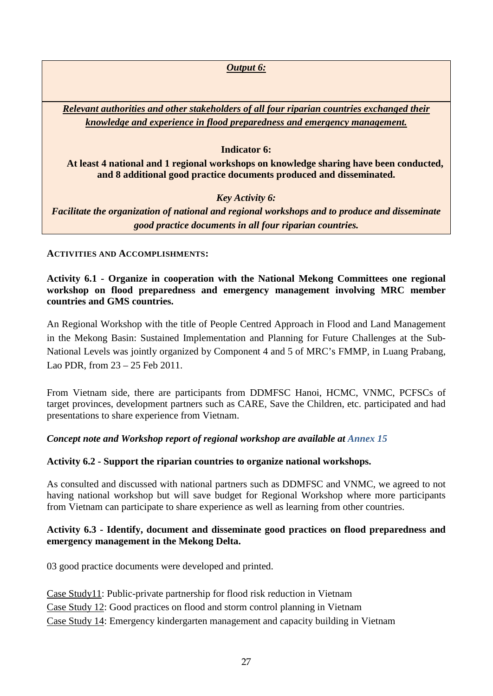*Output 6:*

*Relevant authorities and other stakeholders of all four riparian countries exchanged their knowledge and experience in flood preparedness and emergency management.*

# **Indicator 6:**

**At least 4 national and 1 regional workshops on knowledge sharing have been conducted, and 8 additional good practice documents produced and disseminated.**

# *Key Activity 6:*

*Facilitate the organization of national and regional workshops and to produce and disseminate good practice documents in all four riparian countries.*

**ACTIVITIES AND ACCOMPLISHMENTS:**

**Activity 6.1 - Organize in cooperation with the National Mekong Committees one regional workshop on flood preparedness and emergency management involving MRC member countries and GMS countries.**

An Regional Workshop with the title of People Centred Approach in Flood and Land Management in the Mekong Basin: Sustained Implementation and Planning for Future Challenges at the Sub-National Levels was jointly organized by Component 4 and 5 of MRC's FMMP, in Luang Prabang, Lao PDR, from 23 – 25 Feb 2011.

From Vietnam side, there are participants from DDMFSC Hanoi, HCMC, VNMC, PCFSCs of target provinces, development partners such as CARE, Save the Children, etc. participated and had presentations to share experience from Vietnam.

# *Concept note and Workshop report of regional workshop are available at Annex 15*

# **Activity 6.2 - Support the riparian countries to organize national workshops.**

As consulted and discussed with national partners such as DDMFSC and VNMC, we agreed to not having national workshop but will save budget for Regional Workshop where more participants from Vietnam can participate to share experience as well as learning from other countries.

# **Activity 6.3 - Identify, document and disseminate good practices on flood preparedness and emergency management in the Mekong Delta.**

03 good practice documents were developed and printed.

Case Study11: Public-private partnership for flood risk reduction in Vietnam Case Study 12: Good practices on flood and storm control planning in Vietnam Case Study 14: Emergency kindergarten management and capacity building in Vietnam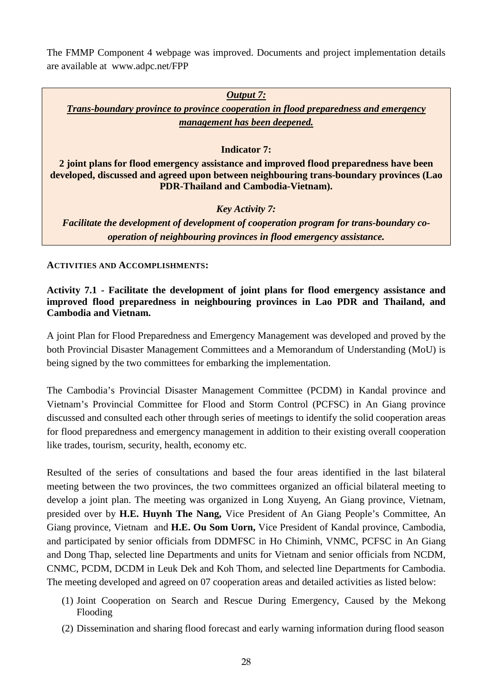The FMMP Component 4 webpage was improved. Documents and project implementation details are available at [www.adpc.net/FPP](http://www.adpc.net/FPP)

# *Output 7: Trans-boundary province to province cooperation in flood preparedness and emergency management has been deepened.* **Indicator 7: 2 joint plans for flood emergency assistance and improved flood preparedness have been developed, discussed and agreed upon between neighbouring trans-boundary provinces (Lao PDR-Thailand and Cambodia-Vietnam).** *Key Activity 7: Facilitate the development of development of cooperation program for trans-boundary cooperation of neighbouring provinces in flood emergency assistance.*

**ACTIVITIES AND ACCOMPLISHMENTS:**

# **Activity 7.1 - Facilitate the development of joint plans for flood emergency assistance and improved flood preparedness in neighbouring provinces in Lao PDR and Thailand, and Cambodia and Vietnam.**

A joint Plan for Flood Preparedness and Emergency Management was developed and proved by the both Provincial Disaster Management Committees and a Memorandum of Understanding (MoU) is being signed by the two committees for embarking the implementation.

The Cambodia's Provincial Disaster Management Committee (PCDM) in Kandal province and Vietnam's Provincial Committee for Flood and Storm Control (PCFSC) in An Giang province discussed and consulted each other through series of meetings to identify the solid cooperation areas for flood preparedness and emergency management in addition to their existing overall cooperation like trades, tourism, security, health, economy etc.

Resulted of the series of consultations and based the four areas identified in the last bilateral meeting between the two provinces, the two committees organized an official bilateral meeting to develop a joint plan. The meeting was organized in Long Xuyeng, An Giang province, Vietnam, presided over by **H.E. Huynh The Nang,** Vice President of An Giang People's Committee, An Giang province, Vietnam and **H.E. Ou Som Uorn,** Vice President of Kandal province, Cambodia, and participated by senior officials from DDMFSC in Ho Chiminh, VNMC, PCFSC in An Giang and Dong Thap, selected line Departments and units for Vietnam and senior officials from NCDM, CNMC, PCDM, DCDM in Leuk Dek and Koh Thom, and selected line Departments for Cambodia. The meeting developed and agreed on 07 cooperation areas and detailed activities as listed below:

- (1) Joint Cooperation on Search and Rescue During Emergency, Caused by the Mekong Flooding
- (2) Dissemination and sharing flood forecast and early warning information during flood season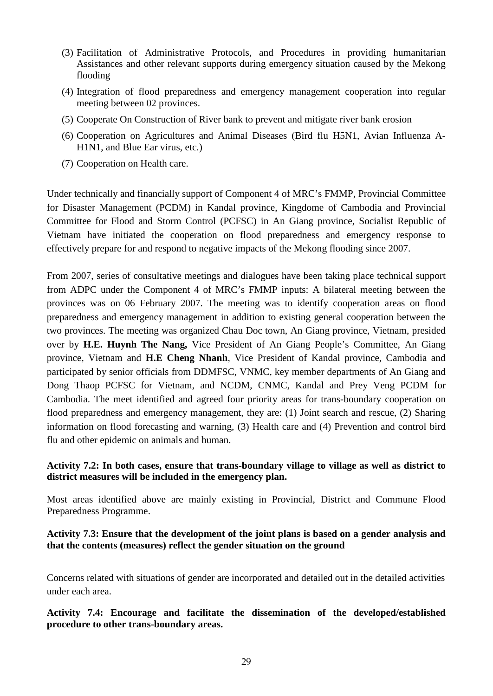- (3) Facilitation of Administrative Protocols, and Procedures in providing humanitarian Assistances and other relevant supports during emergency situation caused by the Mekong flooding
- (4) Integration of flood preparedness and emergency management cooperation into regular meeting between 02 provinces.
- (5) Cooperate On Construction of River bank to prevent and mitigate river bank erosion
- (6) Cooperation on Agricultures and Animal Diseases (Bird flu H5N1, Avian Influenza A-H1N1, and Blue Ear virus, etc.)
- (7) Cooperation on Health care.

Under technically and financially support of Component 4 of MRC's FMMP, Provincial Committee for Disaster Management (PCDM) in Kandal province, Kingdome of Cambodia and Provincial Committee for Flood and Storm Control (PCFSC) in An Giang province, Socialist Republic of Vietnam have initiated the cooperation on flood preparedness and emergency response to effectively prepare for and respond to negative impacts of the Mekong flooding since 2007.

From 2007, series of consultative meetings and dialogues have been taking place technical support from ADPC under the Component 4 of MRC's FMMP inputs: A bilateral meeting between the provinces was on 06 February 2007. The meeting was to identify cooperation areas on flood preparedness and emergency management in addition to existing general cooperation between the two provinces. The meeting was organized Chau Doc town, An Giang province, Vietnam, presided over by **H.E. Huynh The Nang,** Vice President of An Giang People's Committee, An Giang province, Vietnam and **H.E Cheng Nhanh**, Vice President of Kandal province, Cambodia and participated by senior officials from DDMFSC, VNMC, key member departments of An Giang and Dong Thaop PCFSC for Vietnam, and NCDM, CNMC, Kandal and Prey Veng PCDM for Cambodia. The meet identified and agreed four priority areas for trans-boundary cooperation on flood preparedness and emergency management, they are: (1) Joint search and rescue, (2) Sharing information on flood forecasting and warning, (3) Health care and (4) Prevention and control bird flu and other epidemic on animals and human.

# **Activity 7.2: In both cases, ensure that trans-boundary village to village as well as district to district measures will be included in the emergency plan.**

Most areas identified above are mainly existing in Provincial, District and Commune Flood Preparedness Programme.

## **Activity 7.3: Ensure that the development of the joint plans is based on a gender analysis and that the contents (measures) reflect the gender situation on the ground**

Concerns related with situations of gender are incorporated and detailed out in the detailed activities under each area.

# **Activity 7.4: Encourage and facilitate the dissemination of the developed/established procedure to other trans-boundary areas.**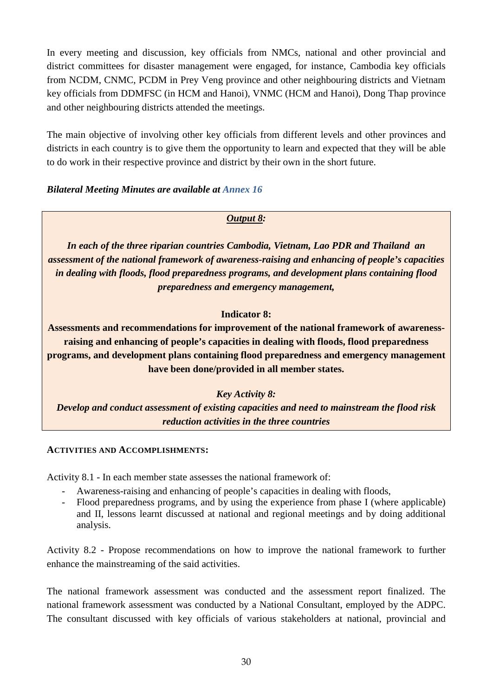In every meeting and discussion, key officials from NMCs, national and other provincial and district committees for disaster management were engaged, for instance, Cambodia key officials from NCDM, CNMC, PCDM in Prey Veng province and other neighbouring districts and Vietnam key officials from DDMFSC (in HCM and Hanoi), VNMC (HCM and Hanoi), Dong Thap province and other neighbouring districts attended the meetings.

The main objective of involving other key officials from different levels and other provinces and districts in each country is to give them the opportunity to learn and expected that they will be able to do work in their respective province and district by their own in the short future.

# *Bilateral Meeting Minutes are available at Annex 16*

# *Output 8:*

*In each of the three riparian countries Cambodia, Vietnam, Lao PDR and Thailand an assessment of the national framework of awareness-raising and enhancing of people's capacities in dealing with floods, flood preparedness programs, and development plans containing flood preparedness and emergency management,*

# **Indicator 8:**

**Assessments and recommendations for improvement of the national framework of awarenessraising and enhancing of people's capacities in dealing with floods, flood preparedness programs, and development plans containing flood preparedness and emergency management have been done/provided in all member states.**

# *Key Activity 8:*

*Develop and conduct assessment of existing capacities and need to mainstream the flood risk reduction activities in the three countries*

# **ACTIVITIES AND ACCOMPLISHMENTS:**

Activity 8.1 - In each member state assesses the national framework of:

- Awareness-raising and enhancing of people's capacities in dealing with floods,
- Flood preparedness programs, and by using the experience from phase I (where applicable) and II, lessons learnt discussed at national and regional meetings and by doing additional analysis.

Activity 8.2 - Propose recommendations on how to improve the national framework to further enhance the mainstreaming of the said activities.

The national framework assessment was conducted and the assessment report finalized. The national framework assessment was conducted by a National Consultant, employed by the ADPC. The consultant discussed with key officials of various stakeholders at national, provincial and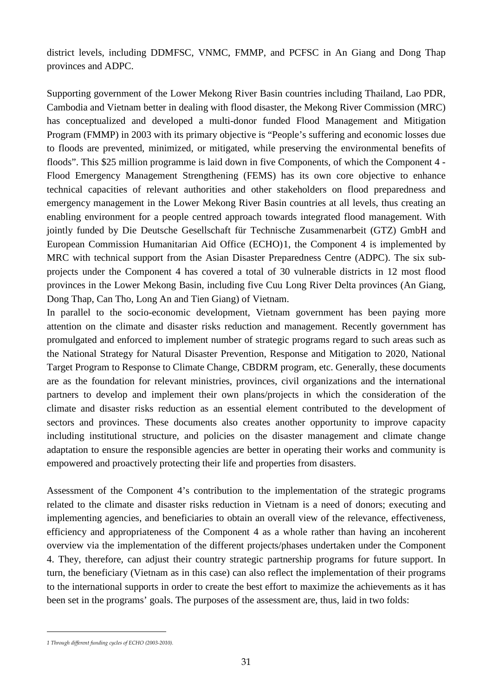district levels, including DDMFSC, VNMC, FMMP, and PCFSC in An Giang and Dong Thap provinces and ADPC.

Supporting government of the Lower Mekong River Basin countries including Thailand, Lao PDR, Cambodia and Vietnam better in dealing with flood disaster, the Mekong River Commission (MRC) has conceptualized and developed a multi-donor funded Flood Management and Mitigation Program (FMMP) in 2003 with its primary objective is "People's suffering and economic losses due to floods are prevented, minimized, or mitigated, while preserving the environmental benefits of floods". This \$25 million programme is laid down in five Components, of which the Component 4 - Flood Emergency Management Strengthening (FEMS) has its own core objective to enhance technical capacities of relevant authorities and other stakeholders on flood preparedness and emergency management in the Lower Mekong River Basin countries at all levels, thus creating an enabling environment for a people centred approach towards integrated flood management. With jointly funded by Die Deutsche Gesellschaft für Technische Zusammenarbeit (GTZ) GmbH and European Commission Humanitarian Aid Office (ECHO)[1](#page-34-0) , the Component 4 is implemented by MRC with technical support from the Asian Disaster Preparedness Centre (ADPC). The six subprojects under the Component 4 has covered a total of 30 vulnerable districts in 12 most flood provinces in the Lower Mekong Basin, including five Cuu Long River Delta provinces (An Giang, Dong Thap, Can Tho, Long An and Tien Giang) of Vietnam.

In parallel to the socio-economic development, Vietnam government has been paying more attention on the climate and disaster risks reduction and management. Recently government has promulgated and enforced to implement number of strategic programs regard to such areas such as the National Strategy for Natural Disaster Prevention, Response and Mitigation to 2020, National Target Program to Response to Climate Change, CBDRM program, etc. Generally, these documents are as the foundation for relevant ministries, provinces, civil organizations and the international partners to develop and implement their own plans/projects in which the consideration of the climate and disaster risks reduction as an essential element contributed to the development of sectors and provinces. These documents also creates another opportunity to improve capacity including institutional structure, and policies on the disaster management and climate change adaptation to ensure the responsible agencies are better in operating their works and community is empowered and proactively protecting their life and properties from disasters.

Assessment of the Component 4's contribution to the implementation of the strategic programs related to the climate and disaster risks reduction in Vietnam is a need of donors; executing and implementing agencies, and beneficiaries to obtain an overall view of the relevance, effectiveness, efficiency and appropriateness of the Component 4 as a whole rather than having an incoherent overview via the implementation of the different projects/phases undertaken under the Component 4. They, therefore, can adjust their country strategic partnership programs for future support. In turn, the beneficiary (Vietnam as in this case) can also reflect the implementation of their programs to the international supports in order to create the best effort to maximize the achievements as it has been set in the programs' goals. The purposes of the assessment are, thus, laid in two folds:

-

<span id="page-34-0"></span>*<sup>1</sup> Through different funding cycles of ECHO (2003-2010).*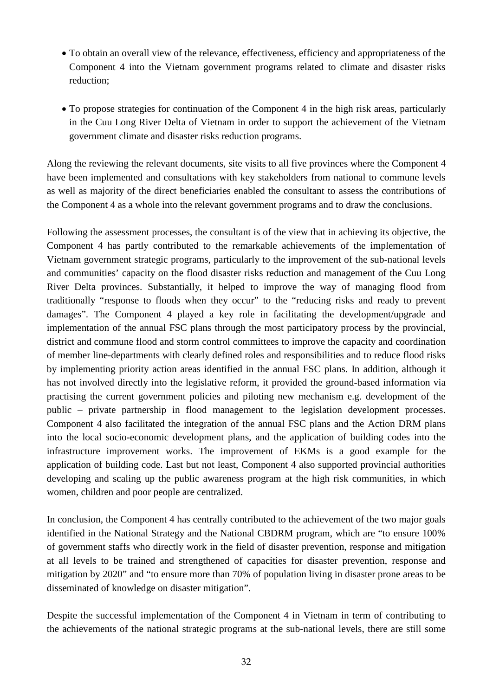- To obtain an overall view of the relevance, effectiveness, efficiency and appropriateness of the Component 4 into the Vietnam government programs related to climate and disaster risks reduction;
- To propose strategies for continuation of the Component 4 in the high risk areas, particularly in the Cuu Long River Delta of Vietnam in order to support the achievement of the Vietnam government climate and disaster risks reduction programs.

Along the reviewing the relevant documents, site visits to all five provinces where the Component 4 have been implemented and consultations with key stakeholders from national to commune levels as well as majority of the direct beneficiaries enabled the consultant to assess the contributions of the Component 4 as a whole into the relevant government programs and to draw the conclusions.

Following the assessment processes, the consultant is of the view that in achieving its objective, the Component 4 has partly contributed to the remarkable achievements of the implementation of Vietnam government strategic programs, particularly to the improvement of the sub-national levels and communities' capacity on the flood disaster risks reduction and management of the Cuu Long River Delta provinces. Substantially, it helped to improve the way of managing flood from traditionally "response to floods when they occur" to the "reducing risks and ready to prevent damages". The Component 4 played a key role in facilitating the development/upgrade and implementation of the annual FSC plans through the most participatory process by the provincial, district and commune flood and storm control committees to improve the capacity and coordination of member line-departments with clearly defined roles and responsibilities and to reduce flood risks by implementing priority action areas identified in the annual FSC plans. In addition, although it has not involved directly into the legislative reform, it provided the ground-based information via practising the current government policies and piloting new mechanism e.g. development of the public – private partnership in flood management to the legislation development processes. Component 4 also facilitated the integration of the annual FSC plans and the Action DRM plans into the local socio-economic development plans, and the application of building codes into the infrastructure improvement works. The improvement of EKMs is a good example for the application of building code. Last but not least, Component 4 also supported provincial authorities developing and scaling up the public awareness program at the high risk communities, in which women, children and poor people are centralized.

In conclusion, the Component 4 has centrally contributed to the achievement of the two major goals identified in the National Strategy and the National CBDRM program, which are "to ensure 100% of government staffs who directly work in the field of disaster prevention, response and mitigation at all levels to be trained and strengthened of capacities for disaster prevention, response and mitigation by 2020" and "to ensure more than 70% of population living in disaster prone areas to be disseminated of knowledge on disaster mitigation".

Despite the successful implementation of the Component 4 in Vietnam in term of contributing to the achievements of the national strategic programs at the sub-national levels, there are still some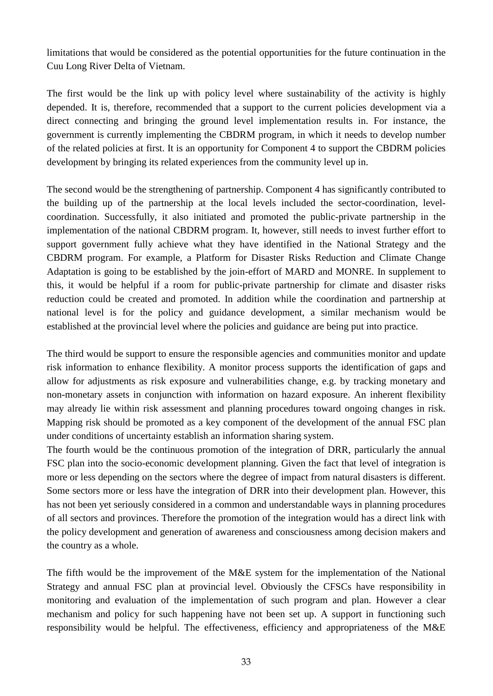limitations that would be considered as the potential opportunities for the future continuation in the Cuu Long River Delta of Vietnam.

The first would be the link up with policy level where sustainability of the activity is highly depended. It is, therefore, recommended that a support to the current policies development via a direct connecting and bringing the ground level implementation results in. For instance, the government is currently implementing the CBDRM program, in which it needs to develop number of the related policies at first. It is an opportunity for Component 4 to support the CBDRM policies development by bringing its related experiences from the community level up in.

The second would be the strengthening of partnership. Component 4 has significantly contributed to the building up of the partnership at the local levels included the sector-coordination, levelcoordination. Successfully, it also initiated and promoted the public-private partnership in the implementation of the national CBDRM program. It, however, still needs to invest further effort to support government fully achieve what they have identified in the National Strategy and the CBDRM program. For example, a Platform for Disaster Risks Reduction and Climate Change Adaptation is going to be established by the join-effort of MARD and MONRE. In supplement to this, it would be helpful if a room for public-private partnership for climate and disaster risks reduction could be created and promoted. In addition while the coordination and partnership at national level is for the policy and guidance development, a similar mechanism would be established at the provincial level where the policies and guidance are being put into practice.

The third would be support to ensure the responsible agencies and communities monitor and update risk information to enhance flexibility. A monitor process supports the identification of gaps and allow for adjustments as risk exposure and vulnerabilities change, e.g. by tracking monetary and non-monetary assets in conjunction with information on hazard exposure. An inherent flexibility may already lie within risk assessment and planning procedures toward ongoing changes in risk. Mapping risk should be promoted as a key component of the development of the annual FSC plan under conditions of uncertainty establish an information sharing system.

The fourth would be the continuous promotion of the integration of DRR, particularly the annual FSC plan into the socio-economic development planning. Given the fact that level of integration is more or less depending on the sectors where the degree of impact from natural disasters is different. Some sectors more or less have the integration of DRR into their development plan. However, this has not been yet seriously considered in a common and understandable ways in planning procedures of all sectors and provinces. Therefore the promotion of the integration would has a direct link with the policy development and generation of awareness and consciousness among decision makers and the country as a whole.

The fifth would be the improvement of the M&E system for the implementation of the National Strategy and annual FSC plan at provincial level. Obviously the CFSCs have responsibility in monitoring and evaluation of the implementation of such program and plan. However a clear mechanism and policy for such happening have not been set up. A support in functioning such responsibility would be helpful. The effectiveness, efficiency and appropriateness of the M&E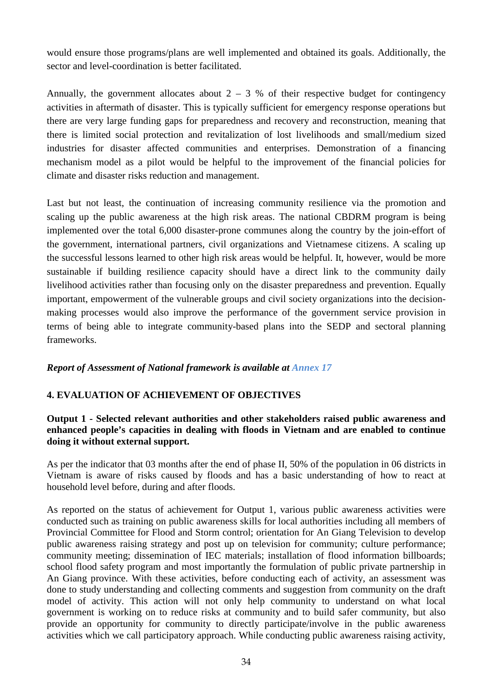would ensure those programs/plans are well implemented and obtained its goals. Additionally, the sector and level-coordination is better facilitated.

Annually, the government allocates about  $2 - 3$  % of their respective budget for contingency activities in aftermath of disaster. This is typically sufficient for emergency response operations but there are very large funding gaps for preparedness and recovery and reconstruction, meaning that there is limited social protection and revitalization of lost livelihoods and small/medium sized industries for disaster affected communities and enterprises. Demonstration of a financing mechanism model as a pilot would be helpful to the improvement of the financial policies for climate and disaster risks reduction and management.

Last but not least, the continuation of increasing community resilience via the promotion and scaling up the public awareness at the high risk areas. The national CBDRM program is being implemented over the total 6,000 disaster-prone communes along the country by the join-effort of the government, international partners, civil organizations and Vietnamese citizens. A scaling up the successful lessons learned to other high risk areas would be helpful. It, however, would be more sustainable if building resilience capacity should have a direct link to the community daily livelihood activities rather than focusing only on the disaster preparedness and prevention. Equally important, empowerment of the vulnerable groups and civil society organizations into the decisionmaking processes would also improve the performance of the government service provision in terms of being able to integrate community-based plans into the SEDP and sectoral planning frameworks.

# *Report of Assessment of National framework is available at Annex 17*

# <span id="page-37-0"></span>**4. EVALUATION OF ACHIEVEMENT OF OBJECTIVES**

## **Output 1 - Selected relevant authorities and other stakeholders raised public awareness and enhanced people's capacities in dealing with floods in Vietnam and are enabled to continue doing it without external support.**

As per the indicator that 03 months after the end of phase II, 50% of the population in 06 districts in Vietnam is aware of risks caused by floods and has a basic understanding of how to react at household level before, during and after floods.

As reported on the status of achievement for Output 1, various public awareness activities were conducted such as training on public awareness skills for local authorities including all members of Provincial Committee for Flood and Storm control; orientation for An Giang Television to develop public awareness raising strategy and post up on television for community; culture performance; community meeting; dissemination of IEC materials; installation of flood information billboards; school flood safety program and most importantly the formulation of public private partnership in An Giang province. With these activities, before conducting each of activity, an assessment was done to study understanding and collecting comments and suggestion from community on the draft model of activity. This action will not only help community to understand on what local government is working on to reduce risks at community and to build safer community, but also provide an opportunity for community to directly participate/involve in the public awareness activities which we call participatory approach. While conducting public awareness raising activity,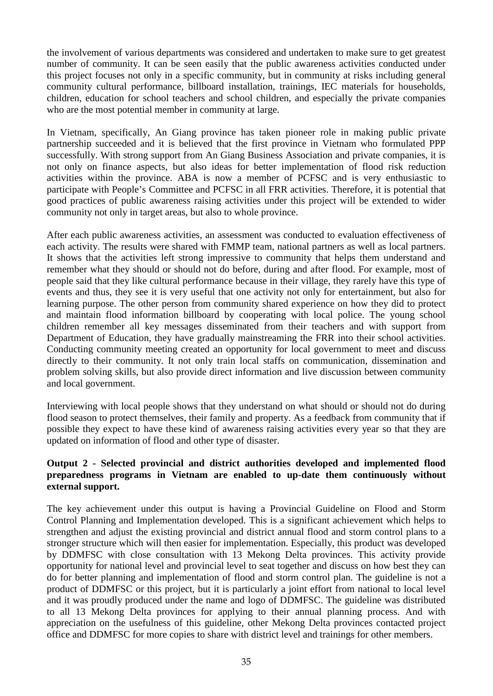the involvement of various departments was considered and undertaken to make sure to get greatest number of community. It can be seen easily that the public awareness activities conducted under this project focuses not only in a specific community, but in community at risks including general community cultural performance, billboard installation, trainings, IEC materials for households, children, education for school teachers and school children, and especially the private companies who are the most potential member in community at large.

In Vietnam, specifically, An Giang province has taken pioneer role in making public private partnership succeeded and it is believed that the first province in Vietnam who formulated PPP successfully. With strong support from An Giang Business Association and private companies, it is not only on finance aspects, but also ideas for better implementation of flood risk reduction activities within the province. ABA is now a member of PCFSC and is very enthusiastic to participate with People's Committee and PCFSC in all FRR activities. Therefore, it is potential that good practices of public awareness raising activities under this project will be extended to wider community not only in target areas, but also to whole province.

After each public awareness activities, an assessment was conducted to evaluation effectiveness of each activity. The results were shared with FMMP team, national partners as well as local partners. It shows that the activities left strong impressive to community that helps them understand and remember what they should or should not do before, during and after flood. For example, most of people said that they like cultural performance because in their village, they rarely have this type of events and thus, they see it is very useful that one activity not only for entertainment, but also for learning purpose. The other person from community shared experience on how they did to protect and maintain flood information billboard by cooperating with local police. The young school children remember all key messages disseminated from their teachers and with support from Department of Education, they have gradually mainstreaming the FRR into their school activities. Conducting community meeting created an opportunity for local government to meet and discuss directly to their community. It not only train local staffs on communication, dissemination and problem solving skills, but also provide direct information and live discussion between community and local government.

Interviewing with local people shows that they understand on what should or should not do during flood season to protect themselves, their family and property. As a feedback from community that if possible they expect to have these kind of awareness raising activities every year so that they are updated on information of flood and other type of disaster.

# **Output 2 - Selected provincial and district authorities developed and implemented flood preparedness programs in Vietnam are enabled to up-date them continuously without external support.**

The key achievement under this output is having a Provincial Guideline on Flood and Storm Control Planning and Implementation developed. This is a significant achievement which helps to strengthen and adjust the existing provincial and district annual flood and storm control plans to a stronger structure which will then easier for implementation. Especially, this product was developed by DDMFSC with close consultation with 13 Mekong Delta provinces. This activity provide opportunity for national level and provincial level to seat together and discuss on how best they can do for better planning and implementation of flood and storm control plan. The guideline is not a product of DDMFSC or this project, but it is particularly a joint effort from national to local level and it was proudly produced under the name and logo of DDMFSC. The guideline was distributed to all 13 Mekong Delta provinces for applying to their annual planning process. And with appreciation on the usefulness of this guideline, other Mekong Delta provinces contacted project office and DDMFSC for more copies to share with district level and trainings for other members.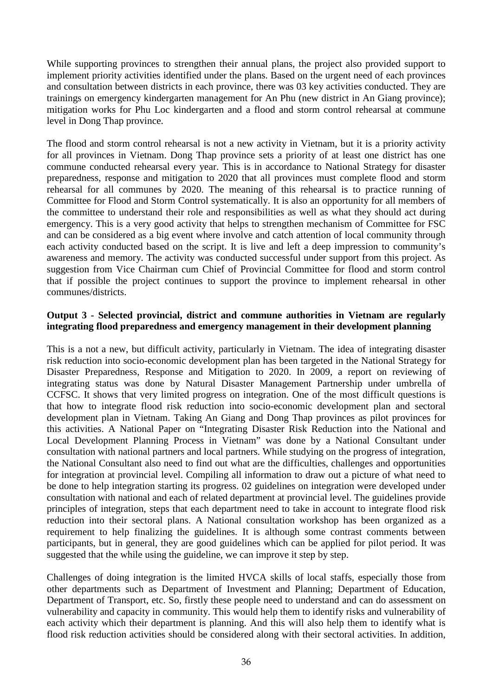While supporting provinces to strengthen their annual plans, the project also provided support to implement priority activities identified under the plans. Based on the urgent need of each provinces and consultation between districts in each province, there was 03 key activities conducted. They are trainings on emergency kindergarten management for An Phu (new district in An Giang province); mitigation works for Phu Loc kindergarten and a flood and storm control rehearsal at commune level in Dong Thap province.

The flood and storm control rehearsal is not a new activity in Vietnam, but it is a priority activity for all provinces in Vietnam. Dong Thap province sets a priority of at least one district has one commune conducted rehearsal every year. This is in accordance to National Strategy for disaster preparedness, response and mitigation to 2020 that all provinces must complete flood and storm rehearsal for all communes by 2020. The meaning of this rehearsal is to practice running of Committee for Flood and Storm Control systematically. It is also an opportunity for all members of the committee to understand their role and responsibilities as well as what they should act during emergency. This is a very good activity that helps to strengthen mechanism of Committee for FSC and can be considered as a big event where involve and catch attention of local community through each activity conducted based on the script. It is live and left a deep impression to community's awareness and memory. The activity was conducted successful under support from this project. As suggestion from Vice Chairman cum Chief of Provincial Committee for flood and storm control that if possible the project continues to support the province to implement rehearsal in other communes/districts.

#### **Output 3 - Selected provincial, district and commune authorities in Vietnam are regularly integrating flood preparedness and emergency management in their development planning**

This is a not a new, but difficult activity, particularly in Vietnam. The idea of integrating disaster risk reduction into socio-economic development plan has been targeted in the National Strategy for Disaster Preparedness, Response and Mitigation to 2020. In 2009, a report on reviewing of integrating status was done by Natural Disaster Management Partnership under umbrella of CCFSC. It shows that very limited progress on integration. One of the most difficult questions is that how to integrate flood risk reduction into socio-economic development plan and sectoral development plan in Vietnam. Taking An Giang and Dong Thap provinces as pilot provinces for this activities. A National Paper on "Integrating Disaster Risk Reduction into the National and Local Development Planning Process in Vietnam" was done by a National Consultant under consultation with national partners and local partners. While studying on the progress of integration, the National Consultant also need to find out what are the difficulties, challenges and opportunities for integration at provincial level. Compiling all information to draw out a picture of what need to be done to help integration starting its progress. 02 guidelines on integration were developed under consultation with national and each of related department at provincial level. The guidelines provide principles of integration, steps that each department need to take in account to integrate flood risk reduction into their sectoral plans. A National consultation workshop has been organized as a requirement to help finalizing the guidelines. It is although some contrast comments between participants, but in general, they are good guidelines which can be applied for pilot period. It was suggested that the while using the guideline, we can improve it step by step.

Challenges of doing integration is the limited HVCA skills of local staffs, especially those from other departments such as Department of Investment and Planning; Department of Education, Department of Transport, etc. So, firstly these people need to understand and can do assessment on vulnerability and capacity in community. This would help them to identify risks and vulnerability of each activity which their department is planning. And this will also help them to identify what is flood risk reduction activities should be considered along with their sectoral activities. In addition,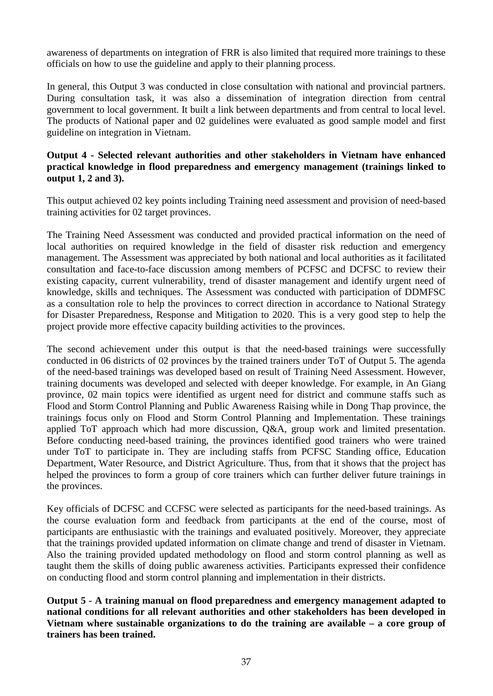awareness of departments on integration of FRR is also limited that required more trainings to these officials on how to use the guideline and apply to their planning process.

In general, this Output 3 was conducted in close consultation with national and provincial partners. During consultation task, it was also a dissemination of integration direction from central government to local government. It built a link between departments and from central to local level. The products of National paper and 02 guidelines were evaluated as good sample model and first guideline on integration in Vietnam.

## **Output 4 - Selected relevant authorities and other stakeholders in Vietnam have enhanced practical knowledge in flood preparedness and emergency management (trainings linked to output 1, 2 and 3).**

This output achieved 02 key points including Training need assessment and provision of need-based training activities for 02 target provinces.

The Training Need Assessment was conducted and provided practical information on the need of local authorities on required knowledge in the field of disaster risk reduction and emergency management. The Assessment was appreciated by both national and local authorities as it facilitated consultation and face-to-face discussion among members of PCFSC and DCFSC to review their existing capacity, current vulnerability, trend of disaster management and identify urgent need of knowledge, skills and techniques. The Assessment was conducted with participation of DDMFSC as a consultation role to help the provinces to correct direction in accordance to National Strategy for Disaster Preparedness, Response and Mitigation to 2020. This is a very good step to help the project provide more effective capacity building activities to the provinces.

The second achievement under this output is that the need-based trainings were successfully conducted in 06 districts of 02 provinces by the trained trainers under ToT of Output 5. The agenda of the need-based trainings was developed based on result of Training Need Assessment. However, training documents was developed and selected with deeper knowledge. For example, in An Giang province, 02 main topics were identified as urgent need for district and commune staffs such as Flood and Storm Control Planning and Public Awareness Raising while in Dong Thap province, the trainings focus only on Flood and Storm Control Planning and Implementation. These trainings applied ToT approach which had more discussion, Q&A, group work and limited presentation. Before conducting need-based training, the provinces identified good trainers who were trained under ToT to participate in. They are including staffs from PCFSC Standing office, Education Department, Water Resource, and District Agriculture. Thus, from that it shows that the project has helped the provinces to form a group of core trainers which can further deliver future trainings in the provinces.

Key officials of DCFSC and CCFSC were selected as participants for the need-based trainings. As the course evaluation form and feedback from participants at the end of the course, most of participants are enthusiastic with the trainings and evaluated positively. Moreover, they appreciate that the trainings provided updated information on climate change and trend of disaster in Vietnam. Also the training provided updated methodology on flood and storm control planning as well as taught them the skills of doing public awareness activities. Participants expressed their confidence on conducting flood and storm control planning and implementation in their districts.

**Output 5 - A training manual on flood preparedness and emergency management adapted to national conditions for all relevant authorities and other stakeholders has been developed in Vietnam where sustainable organizations to do the training are available – a core group of trainers has been trained.**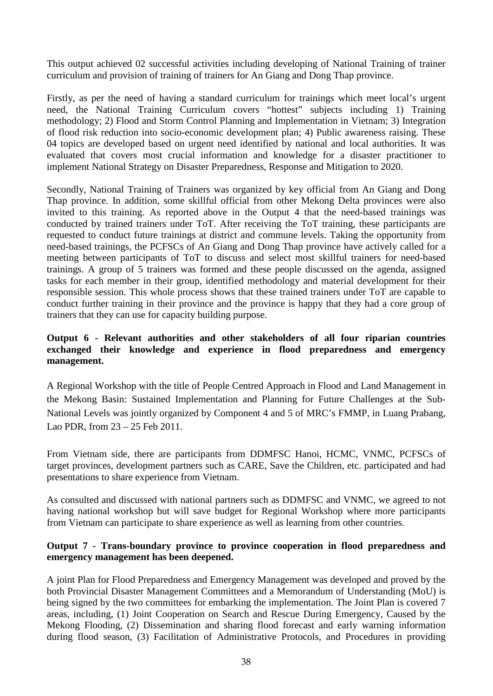This output achieved 02 successful activities including developing of National Training of trainer curriculum and provision of training of trainers for An Giang and Dong Thap province.

Firstly, as per the need of having a standard curriculum for trainings which meet local's urgent need, the National Training Curriculum covers "hottest" subjects including 1) Training methodology; 2) Flood and Storm Control Planning and Implementation in Vietnam; 3) Integration of flood risk reduction into socio-economic development plan; 4) Public awareness raising. These 04 topics are developed based on urgent need identified by national and local authorities. It was evaluated that covers most crucial information and knowledge for a disaster practitioner to implement National Strategy on Disaster Preparedness, Response and Mitigation to 2020.

Secondly, National Training of Trainers was organized by key official from An Giang and Dong Thap province. In addition, some skillful official from other Mekong Delta provinces were also invited to this training. As reported above in the Output 4 that the need-based trainings was conducted by trained trainers under ToT. After receiving the ToT training, these participants are requested to conduct future trainings at district and commune levels. Taking the opportunity from need-based trainings, the PCFSCs of An Giang and Dong Thap province have actively called for a meeting between participants of ToT to discuss and select most skillful trainers for need-based trainings. A group of 5 trainers was formed and these people discussed on the agenda, assigned tasks for each member in their group, identified methodology and material development for their responsible session. This whole process shows that these trained trainers under ToT are capable to conduct further training in their province and the province is happy that they had a core group of trainers that they can use for capacity building purpose.

# **Output 6 - Relevant authorities and other stakeholders of all four riparian countries exchanged their knowledge and experience in flood preparedness and emergency management.**

A Regional Workshop with the title of People Centred Approach in Flood and Land Management in the Mekong Basin: Sustained Implementation and Planning for Future Challenges at the Sub-National Levels was jointly organized by Component 4 and 5 of MRC's FMMP, in Luang Prabang, Lao PDR, from 23 – 25 Feb 2011.

From Vietnam side, there are participants from DDMFSC Hanoi, HCMC, VNMC, PCFSCs of target provinces, development partners such as CARE, Save the Children, etc. participated and had presentations to share experience from Vietnam.

As consulted and discussed with national partners such as DDMFSC and VNMC, we agreed to not having national workshop but will save budget for Regional Workshop where more participants from Vietnam can participate to share experience as well as learning from other countries.

## **Output 7 - Trans-boundary province to province cooperation in flood preparedness and emergency management has been deepened.**

A joint Plan for Flood Preparedness and Emergency Management was developed and proved by the both Provincial Disaster Management Committees and a Memorandum of Understanding (MoU) is being signed by the two committees for embarking the implementation. The Joint Plan is covered 7 areas, including, (1) Joint Cooperation on Search and Rescue During Emergency, Caused by the Mekong Flooding, (2) Dissemination and sharing flood forecast and early warning information during flood season, (3) Facilitation of Administrative Protocols, and Procedures in providing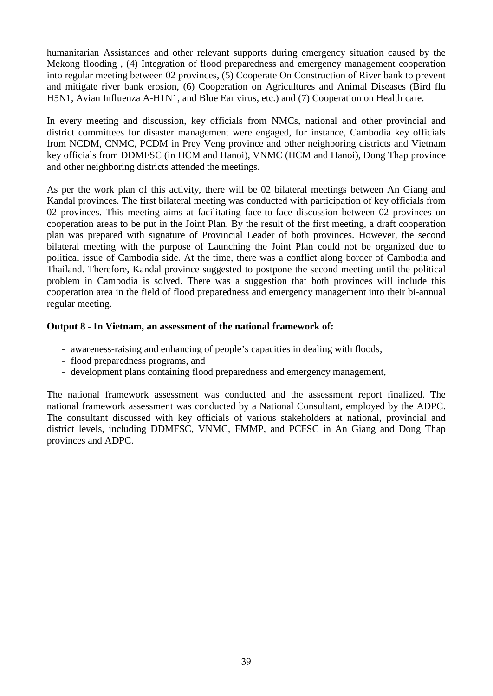humanitarian Assistances and other relevant supports during emergency situation caused by the Mekong flooding , (4) Integration of flood preparedness and emergency management cooperation into regular meeting between 02 provinces, (5) Cooperate On Construction of River bank to prevent and mitigate river bank erosion, (6) Cooperation on Agricultures and Animal Diseases (Bird flu H5N1, Avian Influenza A-H1N1, and Blue Ear virus, etc.) and (7) Cooperation on Health care.

In every meeting and discussion, key officials from NMCs, national and other provincial and district committees for disaster management were engaged, for instance, Cambodia key officials from NCDM, CNMC, PCDM in Prey Veng province and other neighboring districts and Vietnam key officials from DDMFSC (in HCM and Hanoi), VNMC (HCM and Hanoi), Dong Thap province and other neighboring districts attended the meetings.

As per the work plan of this activity, there will be 02 bilateral meetings between An Giang and Kandal provinces. The first bilateral meeting was conducted with participation of key officials from 02 provinces. This meeting aims at facilitating face-to-face discussion between 02 provinces on cooperation areas to be put in the Joint Plan. By the result of the first meeting, a draft cooperation plan was prepared with signature of Provincial Leader of both provinces. However, the second bilateral meeting with the purpose of Launching the Joint Plan could not be organized due to political issue of Cambodia side. At the time, there was a conflict along border of Cambodia and Thailand. Therefore, Kandal province suggested to postpone the second meeting until the political problem in Cambodia is solved. There was a suggestion that both provinces will include this cooperation area in the field of flood preparedness and emergency management into their bi-annual regular meeting.

## **Output 8 - In Vietnam, an assessment of the national framework of:**

- awareness-raising and enhancing of people's capacities in dealing with floods,
- flood preparedness programs, and
- development plans containing flood preparedness and emergency management,

The national framework assessment was conducted and the assessment report finalized. The national framework assessment was conducted by a National Consultant, employed by the ADPC. The consultant discussed with key officials of various stakeholders at national, provincial and district levels, including DDMFSC, VNMC, FMMP, and PCFSC in An Giang and Dong Thap provinces and ADPC.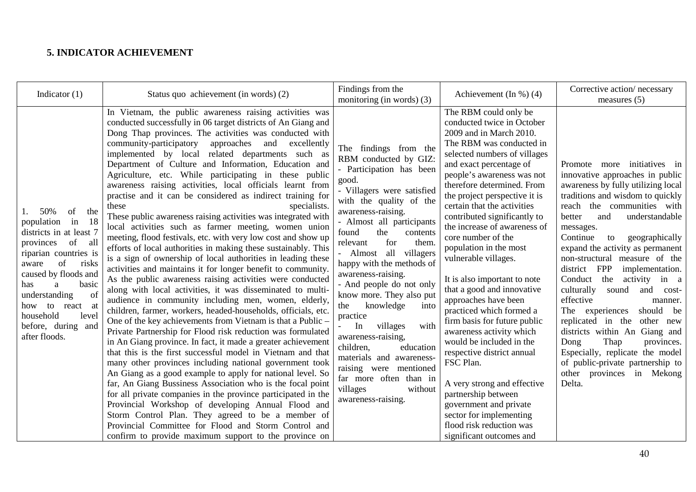# **5. INDICATOR ACHIEVEMENT**

<span id="page-43-0"></span>

| Indicator $(1)$                                                                                                                                                                                                                                                                                       | Status quo achievement (in words) (2)                                                                                                                                                                                                                                                                                                                                                                                                                                                                                                                                                                                                                                                                                                                                                                                                                                                                                                                                                                                                                                                                                                                                                                                                                                                                                                                                                                                                                                                                                                                                                                                                                                                                                                                                                                                                                                                                                                                                    | Findings from the<br>monitoring (in words) $(3)$                                                                                                                                                                                                                                                                                                                                                                                                                                                                                                                                                                                          | Achievement (In $\%$ ) (4)                                                                                                                                                                                                                                                                                                                                                                                                                                                                                                                                                                                                                                                                                                                                                                                                                                        | Corrective action/necessary<br>measures $(5)$                                                                                                                                                                                                                                                                                                                                                                                                                                                                                                                                                                                                                                                                       |
|-------------------------------------------------------------------------------------------------------------------------------------------------------------------------------------------------------------------------------------------------------------------------------------------------------|--------------------------------------------------------------------------------------------------------------------------------------------------------------------------------------------------------------------------------------------------------------------------------------------------------------------------------------------------------------------------------------------------------------------------------------------------------------------------------------------------------------------------------------------------------------------------------------------------------------------------------------------------------------------------------------------------------------------------------------------------------------------------------------------------------------------------------------------------------------------------------------------------------------------------------------------------------------------------------------------------------------------------------------------------------------------------------------------------------------------------------------------------------------------------------------------------------------------------------------------------------------------------------------------------------------------------------------------------------------------------------------------------------------------------------------------------------------------------------------------------------------------------------------------------------------------------------------------------------------------------------------------------------------------------------------------------------------------------------------------------------------------------------------------------------------------------------------------------------------------------------------------------------------------------------------------------------------------------|-------------------------------------------------------------------------------------------------------------------------------------------------------------------------------------------------------------------------------------------------------------------------------------------------------------------------------------------------------------------------------------------------------------------------------------------------------------------------------------------------------------------------------------------------------------------------------------------------------------------------------------------|-------------------------------------------------------------------------------------------------------------------------------------------------------------------------------------------------------------------------------------------------------------------------------------------------------------------------------------------------------------------------------------------------------------------------------------------------------------------------------------------------------------------------------------------------------------------------------------------------------------------------------------------------------------------------------------------------------------------------------------------------------------------------------------------------------------------------------------------------------------------|---------------------------------------------------------------------------------------------------------------------------------------------------------------------------------------------------------------------------------------------------------------------------------------------------------------------------------------------------------------------------------------------------------------------------------------------------------------------------------------------------------------------------------------------------------------------------------------------------------------------------------------------------------------------------------------------------------------------|
| 50%<br>of<br>the<br>-18<br>population<br>in<br>districts in at least 7<br>provinces of<br>all<br>riparian countries is<br>of<br>risks<br>aware<br>caused by floods and<br>basic<br>has<br>a<br>understanding<br>of<br>how to<br>react at<br>household<br>level<br>before, during and<br>after floods. | In Vietnam, the public awareness raising activities was<br>conducted successfully in 06 target districts of An Giang and<br>Dong Thap provinces. The activities was conducted with<br>community-participatory<br>approaches and<br>excellently<br>implemented by local related departments such as<br>Department of Culture and Information, Education and<br>Agriculture, etc. While participating in these public<br>awareness raising activities, local officials learnt from<br>practise and it can be considered as indirect training for<br>specialists.<br>these<br>These public awareness raising activities was integrated with<br>local activities such as farmer meeting, women union<br>meeting, flood festivals, etc. with very low cost and show up<br>efforts of local authorities in making these sustainably. This<br>is a sign of ownership of local authorities in leading these<br>activities and maintains it for longer benefit to community.<br>As the public awareness raising activities were conducted<br>along with local activities, it was disseminated to multi-<br>audience in community including men, women, elderly,<br>children, farmer, workers, headed-households, officials, etc.<br>One of the key achievements from Vietnam is that a Public -<br>Private Partnership for Flood risk reduction was formulated<br>in An Giang province. In fact, it made a greater achievement<br>that this is the first successful model in Vietnam and that<br>many other provinces including national government took<br>An Giang as a good example to apply for national level. So<br>far, An Giang Bussiness Association who is the focal point<br>for all private companies in the province participated in the<br>Provincial Workshop of developing Annual Flood and<br>Storm Control Plan. They agreed to be a member of<br>Provincial Committee for Flood and Storm Control and<br>confirm to provide maximum support to the province on | The findings from the<br>RBM conducted by GIZ:<br>- Participation has been<br>good.<br>- Villagers were satisfied<br>with the quality of the<br>awareness-raising.<br>- Almost all participants<br>the<br>found<br>contents<br>for<br>relevant<br>them.<br>Almost all villagers<br>happy with the methods of<br>awareness-raising.<br>- And people do not only<br>know more. They also put<br>knowledge<br>the<br>into<br>practice<br>with<br>In<br>villages<br>awareness-raising,<br>children,<br>education<br>materials and awareness-<br>raising were mentioned<br>far more often than in<br>villages<br>without<br>awareness-raising. | The RBM could only be<br>conducted twice in October<br>2009 and in March 2010.<br>The RBM was conducted in<br>selected numbers of villages<br>and exact percentage of<br>people's awareness was not<br>therefore determined. From<br>the project perspective it is<br>certain that the activities<br>contributed significantly to<br>the increase of awareness of<br>core number of the<br>population in the most<br>vulnerable villages.<br>It is also important to note<br>that a good and innovative<br>approaches have been<br>practiced which formed a<br>firm basis for future public<br>awareness activity which<br>would be included in the<br>respective district annual<br>FSC Plan.<br>A very strong and effective<br>partnership between<br>government and private<br>sector for implementing<br>flood risk reduction was<br>significant outcomes and | Promote more initiatives in<br>innovative approaches in public<br>awareness by fully utilizing local<br>traditions and wisdom to quickly<br>reach the communities with<br>better<br>understandable<br>and<br>messages.<br>Continue<br>geographically<br>to<br>expand the activity as permanent<br>non-structural measure of the<br>district FPP<br>implementation.<br>the<br>activity in a<br>Conduct<br>culturally<br>sound<br>and<br>cost-<br>effective<br>manner.<br>should be<br>The experiences<br>replicated in the<br>other new<br>districts within An Giang and<br>Thap<br>provinces.<br>Dong<br>Especially, replicate the model<br>of public-private partnership to<br>other provinces in Mekong<br>Delta. |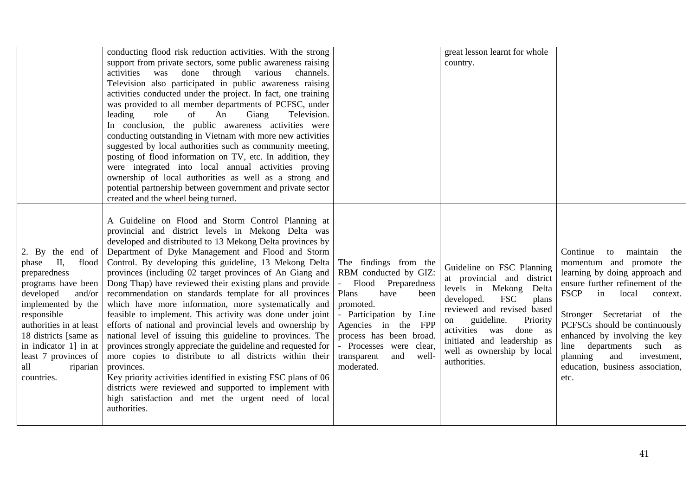|                                                                                                                                                                                                                                                                                  | conducting flood risk reduction activities. With the strong<br>support from private sectors, some public awareness raising<br>activities<br>through various<br>was done<br>channels.<br>Television also participated in public awareness raising<br>activities conducted under the project. In fact, one training<br>was provided to all member departments of PCFSC, under<br>leading<br>role<br>of<br>Television.<br>An<br>Giang<br>In conclusion, the public awareness activities were<br>conducting outstanding in Vietnam with more new activities<br>suggested by local authorities such as community meeting,<br>posting of flood information on TV, etc. In addition, they<br>were integrated into local annual activities proving<br>ownership of local authorities as well as a strong and<br>potential partnership between government and private sector<br>created and the wheel being turned.                                                                                                                                                            |                                                                                                                                                                                                                                                                    | great lesson learnt for whole<br>country.                                                                                                                                                                                                                                                         |                                                                                                                                                                                                                                                                                                                                                                                             |
|----------------------------------------------------------------------------------------------------------------------------------------------------------------------------------------------------------------------------------------------------------------------------------|-----------------------------------------------------------------------------------------------------------------------------------------------------------------------------------------------------------------------------------------------------------------------------------------------------------------------------------------------------------------------------------------------------------------------------------------------------------------------------------------------------------------------------------------------------------------------------------------------------------------------------------------------------------------------------------------------------------------------------------------------------------------------------------------------------------------------------------------------------------------------------------------------------------------------------------------------------------------------------------------------------------------------------------------------------------------------|--------------------------------------------------------------------------------------------------------------------------------------------------------------------------------------------------------------------------------------------------------------------|---------------------------------------------------------------------------------------------------------------------------------------------------------------------------------------------------------------------------------------------------------------------------------------------------|---------------------------------------------------------------------------------------------------------------------------------------------------------------------------------------------------------------------------------------------------------------------------------------------------------------------------------------------------------------------------------------------|
| 2. By the end of<br>П,<br>flood<br>phase<br>preparedness<br>programs have been<br>developed<br>and/or<br>implemented by the<br>responsible<br>authorities in at least<br>18 districts [same as<br>in indicator 1] in at<br>least 7 provinces of<br>all<br>riparian<br>countries. | A Guideline on Flood and Storm Control Planning at<br>provincial and district levels in Mekong Delta was<br>developed and distributed to 13 Mekong Delta provinces by<br>Department of Dyke Management and Flood and Storm<br>Control. By developing this guideline, 13 Mekong Delta<br>provinces (including 02 target provinces of An Giang and<br>Dong Thap) have reviewed their existing plans and provide<br>recommendation on standards template for all provinces<br>which have more information, more systematically and<br>feasible to implement. This activity was done under joint<br>efforts of national and provincial levels and ownership by<br>national level of issuing this guideline to provinces. The<br>provinces strongly appreciate the guideline and requested for<br>more copies to distribute to all districts within their<br>provinces.<br>Key priority activities identified in existing FSC plans of 06<br>districts were reviewed and supported to implement with<br>high satisfaction and met the urgent need of local<br>authorities. | The findings from the<br>RBM conducted by GIZ:<br>Flood<br>Preparedness<br>Plans<br>have<br>been<br>promoted.<br>- Participation by Line<br>Agencies in the FPP<br>process has been broad.<br>- Processes were clear,<br>transparent<br>and<br>well-<br>moderated. | Guideline on FSC Planning<br>at provincial and district<br>levels in Mekong Delta<br><b>FSC</b><br>developed.<br>plans<br>reviewed and revised based<br>guideline.<br>Priority<br>on<br>activities<br>done as<br>was<br>initiated and leadership as<br>well as ownership by local<br>authorities. | Continue<br>maintain<br>to<br>the<br>momentum and promote the<br>learning by doing approach and<br>ensure further refinement of the<br><b>FSCP</b><br>in<br>local<br>context.<br>Stronger Secretariat of the<br>PCFSCs should be continuously<br>enhanced by involving the key<br>line departments<br>such as<br>planning<br>and<br>investment,<br>education, business association,<br>etc. |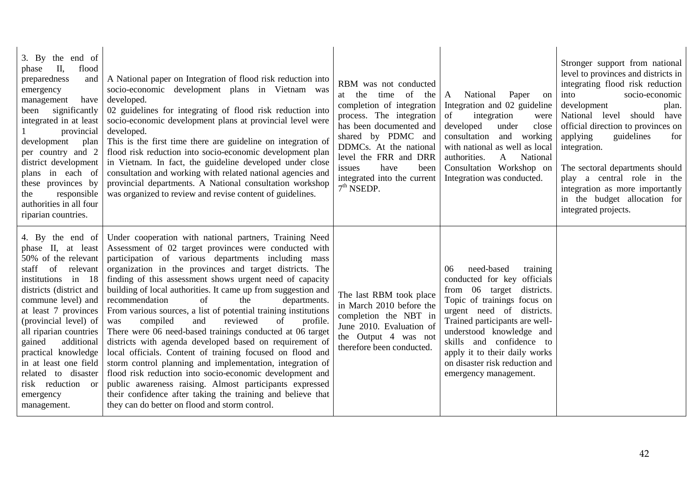| 3. By the end of<br>phase II,<br>flood<br>preparedness<br>and<br>emergency<br>management<br>have<br>significantly<br>been<br>integrated in at least<br>provincial<br>development<br>plan<br>per country and 2<br>district development<br>plans in each of<br>these provinces by<br>responsible<br>the<br>authorities in all four<br>riparian countries.                                    | A National paper on Integration of flood risk reduction into<br>socio-economic development plans in Vietnam was<br>developed.<br>02 guidelines for integrating of flood risk reduction into<br>socio-economic development plans at provincial level were<br>developed.<br>This is the first time there are guideline on integration of<br>flood risk reduction into socio-economic development plan<br>in Vietnam. In fact, the guideline developed under close<br>consultation and working with related national agencies and<br>provincial departments. A National consultation workshop<br>was organized to review and revise content of guidelines.                                                                                                                                                                                                                                                                                                                                                                             | RBM was not conducted<br>at the time of<br>the<br>completion of integration<br>process. The integration<br>has been documented and<br>shared by PDMC and<br>DDMCs. At the national<br>level the FRR and DRR<br>have<br>been<br>issues<br>integrated into the current<br>$7th$ NSEDP. | Paper<br>National<br>$\mathbf{A}$<br>on<br>Integration and 02 guideline<br>of<br>integration<br>were<br>developed<br>under<br>close<br>consultation<br>and working<br>with national as well as local<br>authorities.<br>National<br>$\mathbf{A}$<br>Consultation Workshop on<br>Integration was conducted.                                 | Stronger support from national<br>level to provinces and districts in<br>integrating flood risk reduction<br>into<br>socio-economic<br>development<br>plan.<br>National level should<br>have<br>official direction to provinces on<br>applying<br>guidelines<br>for<br>integration.<br>The sectoral departments should<br>play a central role in the<br>integration as more importantly<br>in the budget allocation for<br>integrated projects. |
|--------------------------------------------------------------------------------------------------------------------------------------------------------------------------------------------------------------------------------------------------------------------------------------------------------------------------------------------------------------------------------------------|-------------------------------------------------------------------------------------------------------------------------------------------------------------------------------------------------------------------------------------------------------------------------------------------------------------------------------------------------------------------------------------------------------------------------------------------------------------------------------------------------------------------------------------------------------------------------------------------------------------------------------------------------------------------------------------------------------------------------------------------------------------------------------------------------------------------------------------------------------------------------------------------------------------------------------------------------------------------------------------------------------------------------------------|--------------------------------------------------------------------------------------------------------------------------------------------------------------------------------------------------------------------------------------------------------------------------------------|--------------------------------------------------------------------------------------------------------------------------------------------------------------------------------------------------------------------------------------------------------------------------------------------------------------------------------------------|-------------------------------------------------------------------------------------------------------------------------------------------------------------------------------------------------------------------------------------------------------------------------------------------------------------------------------------------------------------------------------------------------------------------------------------------------|
| 4. By the end of<br>phase II, at least<br>50% of the relevant<br>staff<br>of<br>relevant<br>institutions in 18<br>districts (district and<br>commune level) and<br>at least 7 provinces<br>(provincial level) of<br>all riparian countries<br>gained<br>additional<br>practical knowledge<br>in at least one field<br>related to disaster<br>risk reduction or<br>emergency<br>management. | Under cooperation with national partners, Training Need<br>Assessment of 02 target provinces were conducted with<br>participation of various departments including mass<br>organization in the provinces and target districts. The<br>finding of this assessment shows urgent need of capacity<br>building of local authorities. It came up from suggestion and<br>of<br>the<br>recommendation<br>departments.<br>From various sources, a list of potential training institutions<br>compiled<br>reviewed<br>and<br>of<br>profile.<br>was<br>There were 06 need-based trainings conducted at 06 target<br>districts with agenda developed based on requirement of<br>local officials. Content of training focused on flood and<br>storm control planning and implementation, integration of<br>flood risk reduction into socio-economic development and<br>public awareness raising. Almost participants expressed<br>their confidence after taking the training and believe that<br>they can do better on flood and storm control. | The last RBM took place<br>in March 2010 before the<br>completion the NBT in<br>June 2010. Evaluation of<br>the Output 4 was not<br>therefore been conducted.                                                                                                                        | need-based<br>training<br>06<br>conducted for key officials<br>from 06 target districts.<br>Topic of trainings focus on<br>urgent need of districts.<br>Trained participants are well-<br>understood knowledge and<br>skills and confidence to<br>apply it to their daily works<br>on disaster risk reduction and<br>emergency management. |                                                                                                                                                                                                                                                                                                                                                                                                                                                 |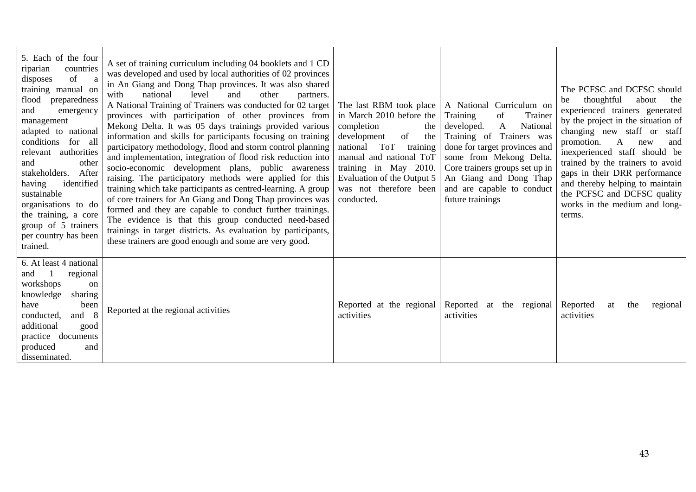| 5. Each of the four<br>countries<br>riparian<br>of<br>disposes<br>a<br>training manual on<br>flood<br>preparedness<br>and<br>emergency<br>management<br>adapted to national<br>conditions for all<br>authorities<br>relevant<br>other<br>and<br>stakeholders.<br>After<br>identified<br>having<br>sustainable<br>organisations to do<br>the training, a core<br>group of 5 trainers<br>per country has been<br>trained. | A set of training curriculum including 04 booklets and 1 CD<br>was developed and used by local authorities of 02 provinces<br>in An Giang and Dong Thap provinces. It was also shared<br>with<br>national<br>level<br>and<br>other<br>partners.<br>A National Training of Trainers was conducted for 02 target<br>provinces with participation of other provinces from<br>Mekong Delta. It was 05 days trainings provided various<br>information and skills for participants focusing on training<br>participatory methodology, flood and storm control planning<br>and implementation, integration of flood risk reduction into<br>socio-economic development plans, public awareness<br>raising. The participatory methods were applied for this<br>training which take participants as centred-learning. A group<br>of core trainers for An Giang and Dong Thap provinces was<br>formed and they are capable to conduct further trainings.<br>The evidence is that this group conducted need-based<br>trainings in target districts. As evaluation by participants,<br>these trainers are good enough and some are very good. | The last RBM took place  <br>in March 2010 before the<br>completion<br>the<br>of<br>development<br>the<br>ToT<br>training<br>national<br>manual and national ToT<br>training in May 2010.<br>Evaluation of the Output 5<br>was not therefore been<br>conducted. | A National Curriculum on<br>of<br>Training<br>Trainer<br>National<br>developed.<br>$\mathbf{A}$<br>Training of Trainers was<br>done for target provinces and<br>some from Mekong Delta.<br>Core trainers groups set up in<br>An Giang and Dong Thap<br>and are capable to conduct<br>future trainings | The PCFSC and DCFSC should<br>thoughtful<br>about<br>the<br>be<br>experienced trainers generated<br>by the project in the situation of<br>changing new staff or staff<br>promotion.<br>$\mathbf{A}$<br>new<br>and<br>inexperienced staff should be<br>trained by the trainers to avoid<br>gaps in their DRR performance<br>and thereby helping to maintain<br>the PCFSC and DCFSC quality<br>works in the medium and long-<br>terms. |
|-------------------------------------------------------------------------------------------------------------------------------------------------------------------------------------------------------------------------------------------------------------------------------------------------------------------------------------------------------------------------------------------------------------------------|----------------------------------------------------------------------------------------------------------------------------------------------------------------------------------------------------------------------------------------------------------------------------------------------------------------------------------------------------------------------------------------------------------------------------------------------------------------------------------------------------------------------------------------------------------------------------------------------------------------------------------------------------------------------------------------------------------------------------------------------------------------------------------------------------------------------------------------------------------------------------------------------------------------------------------------------------------------------------------------------------------------------------------------------------------------------------------------------------------------------------------|-----------------------------------------------------------------------------------------------------------------------------------------------------------------------------------------------------------------------------------------------------------------|-------------------------------------------------------------------------------------------------------------------------------------------------------------------------------------------------------------------------------------------------------------------------------------------------------|--------------------------------------------------------------------------------------------------------------------------------------------------------------------------------------------------------------------------------------------------------------------------------------------------------------------------------------------------------------------------------------------------------------------------------------|
| 6. At least 4 national<br>regional<br>and<br>workshops<br>on<br>knowledge<br>sharing<br>have<br>been<br>conducted,<br>and 8<br>additional<br>good<br>practice documents<br>produced<br>and<br>disseminated.                                                                                                                                                                                                             | Reported at the regional activities                                                                                                                                                                                                                                                                                                                                                                                                                                                                                                                                                                                                                                                                                                                                                                                                                                                                                                                                                                                                                                                                                              | Reported at the regional<br>activities                                                                                                                                                                                                                          | Reported<br>at the regional<br>activities                                                                                                                                                                                                                                                             | Reported<br>the<br>regional<br>at<br>activities                                                                                                                                                                                                                                                                                                                                                                                      |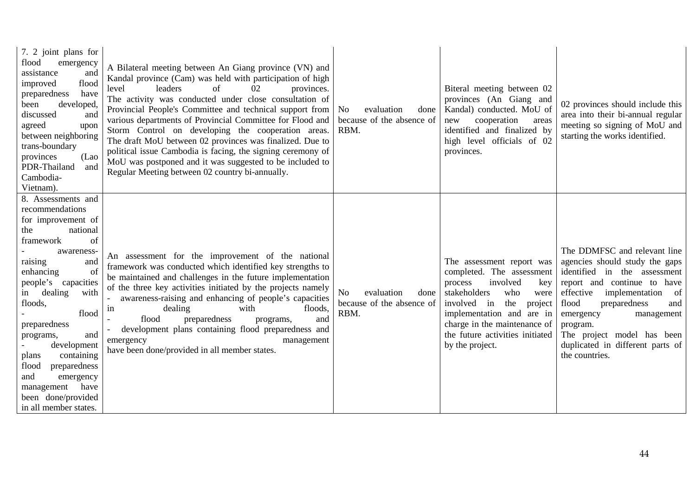| 7. 2 joint plans for<br>flood<br>emergency<br>assistance<br>and<br>flood<br>improved<br>preparedness<br>have<br>developed,<br>been<br>discussed<br>and<br>agreed<br>upon<br>between neighboring<br>trans-boundary<br>provinces<br>(Lao)<br>PDR-Thailand<br>and<br>Cambodia-<br>Vietnam).                                                                                                                             | A Bilateral meeting between An Giang province (VN) and<br>Kandal province (Cam) was held with participation of high<br>leaders<br>level<br>οf<br>02<br>provinces.<br>The activity was conducted under close consultation of<br>Provincial People's Committee and technical support from<br>various departments of Provincial Committee for Flood and<br>Storm Control on developing the cooperation areas.<br>The draft MoU between 02 provinces was finalized. Due to<br>political issue Cambodia is facing, the signing ceremony of<br>MoU was postponed and it was suggested to be included to<br>Regular Meeting between 02 country bi-annually. | evaluation<br>N <sub>o</sub><br>done<br>because of the absence of<br>RBM. | Biteral meeting between 02<br>provinces (An Giang and<br>Kandal) conducted. MoU of<br>cooperation<br>new<br>areas<br>identified and finalized by<br>high level officials of 02<br>provinces.                                                                               | 02 provinces should include this<br>area into their bi-annual regular<br>meeting so signing of MoU and<br>starting the works identified.                                                                                                                                                                                         |
|----------------------------------------------------------------------------------------------------------------------------------------------------------------------------------------------------------------------------------------------------------------------------------------------------------------------------------------------------------------------------------------------------------------------|------------------------------------------------------------------------------------------------------------------------------------------------------------------------------------------------------------------------------------------------------------------------------------------------------------------------------------------------------------------------------------------------------------------------------------------------------------------------------------------------------------------------------------------------------------------------------------------------------------------------------------------------------|---------------------------------------------------------------------------|----------------------------------------------------------------------------------------------------------------------------------------------------------------------------------------------------------------------------------------------------------------------------|----------------------------------------------------------------------------------------------------------------------------------------------------------------------------------------------------------------------------------------------------------------------------------------------------------------------------------|
| 8. Assessments and<br>recommendations<br>for improvement of<br>the<br>national<br>framework<br>of<br>awareness-<br>raising<br>and<br>enhancing<br>of<br>people's capacities<br>dealing<br>with<br>1n<br>floods,<br>flood<br>preparedness<br>and<br>programs,<br>development<br>containing<br>plans<br>preparedness<br>flood<br>and<br>emergency<br>have<br>management<br>been done/provided<br>in all member states. | An assessment for the improvement of the national<br>framework was conducted which identified key strengths to<br>be maintained and challenges in the future implementation<br>of the three key activities initiated by the projects namely<br>awareness-raising and enhancing of people's capacities<br>with<br>in<br>dealing<br>floods,<br>flood<br>preparedness<br>and<br>programs,<br>development plans containing flood preparedness and<br>emergency<br>management<br>have been done/provided in all member states.                                                                                                                            | N <sub>0</sub><br>evaluation<br>done<br>because of the absence of<br>RBM. | The assessment report was<br>completed. The assessment<br>involved<br>process<br>key<br>stakeholders<br>who<br>were<br>the<br>involved<br>project<br>in<br>implementation and are in<br>charge in the maintenance of<br>the future activities initiated<br>by the project. | The DDMFSC and relevant line<br>agencies should study the gaps<br>identified in the assessment<br>report and continue to<br>have<br>implementation<br>effective<br>of<br>flood<br>preparedness<br>and<br>emergency<br>management<br>program.<br>The project model has been<br>duplicated in different parts of<br>the countries. |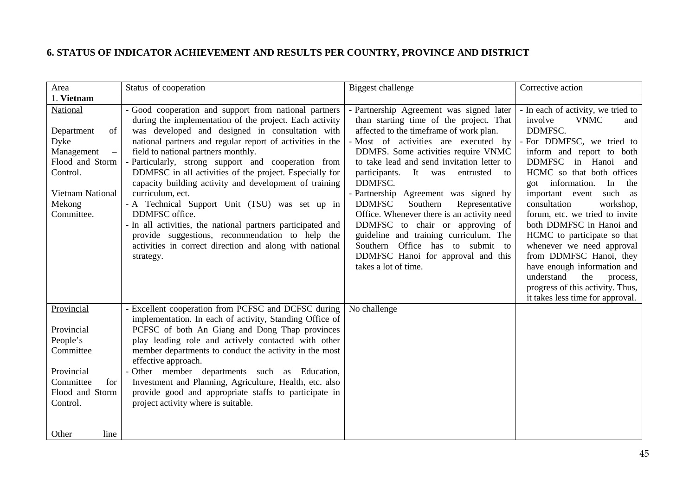# **6. STATUS OF INDICATOR ACHIEVEMENT AND RESULTS PER COUNTRY, PROVINCE AND DISTRICT**

<span id="page-48-0"></span>

| Area                                                                                                                                                      | Status of cooperation                                                                                                                                                                                                                                                                                                                                                                                                                                                                                                                                                                                                                                                                                                                 | Biggest challenge                                                                                                                                                                                                                                                                                                                                                                                                                                                                                                                                                                                                                            | Corrective action                                                                                                                                                                                                                                                                                                                                                                                                                                                                                                                                                                     |
|-----------------------------------------------------------------------------------------------------------------------------------------------------------|---------------------------------------------------------------------------------------------------------------------------------------------------------------------------------------------------------------------------------------------------------------------------------------------------------------------------------------------------------------------------------------------------------------------------------------------------------------------------------------------------------------------------------------------------------------------------------------------------------------------------------------------------------------------------------------------------------------------------------------|----------------------------------------------------------------------------------------------------------------------------------------------------------------------------------------------------------------------------------------------------------------------------------------------------------------------------------------------------------------------------------------------------------------------------------------------------------------------------------------------------------------------------------------------------------------------------------------------------------------------------------------------|---------------------------------------------------------------------------------------------------------------------------------------------------------------------------------------------------------------------------------------------------------------------------------------------------------------------------------------------------------------------------------------------------------------------------------------------------------------------------------------------------------------------------------------------------------------------------------------|
| 1. Vietnam                                                                                                                                                |                                                                                                                                                                                                                                                                                                                                                                                                                                                                                                                                                                                                                                                                                                                                       |                                                                                                                                                                                                                                                                                                                                                                                                                                                                                                                                                                                                                                              |                                                                                                                                                                                                                                                                                                                                                                                                                                                                                                                                                                                       |
| National<br>Department<br>of<br>Dyke<br>Management<br>$\overline{\phantom{m}}$<br>Flood and Storm<br>Control.<br>Vietnam National<br>Mekong<br>Committee. | - Good cooperation and support from national partners<br>during the implementation of the project. Each activity<br>was developed and designed in consultation with<br>national partners and regular report of activities in the<br>field to national partners monthly.<br>- Particularly, strong support and cooperation from<br>DDMFSC in all activities of the project. Especially for<br>capacity building activity and development of training<br>curriculum, ect.<br>- A Technical Support Unit (TSU) was set up in<br>DDMFSC office.<br>- In all activities, the national partners participated and<br>provide suggestions, recommendation to help the<br>activities in correct direction and along with national<br>strategy. | - Partnership Agreement was signed later<br>than starting time of the project. That<br>affected to the timeframe of work plan.<br>- Most of activities are executed by<br>DDMFS. Some activities require VNMC<br>to take lead and send invitation letter to<br>participants.<br>It was<br>entrusted<br>to<br>DDMFSC.<br>- Partnership Agreement was signed by<br><b>DDMFSC</b><br>Southern<br>Representative<br>Office. Whenever there is an activity need<br>DDMFSC to chair or approving of<br>guideline and training curriculum. The<br>Southern Office has<br>to submit to<br>DDMFSC Hanoi for approval and this<br>takes a lot of time. | - In each of activity, we tried to<br>involve<br><b>VNMC</b><br>and<br>DDMFSC.<br>- For DDMFSC, we tried to<br>inform and report to both<br>DDMFSC in Hanoi and<br>HCMC so that both offices<br>got information.<br>In<br>the<br>important event<br>such as<br>consultation<br>workshop,<br>forum, etc. we tried to invite<br>both DDMFSC in Hanoi and<br>HCMC to participate so that<br>whenever we need approval<br>from DDMFSC Hanoi, they<br>have enough information and<br>understand<br>the<br>process,<br>progress of this activity. Thus,<br>it takes less time for approval. |
| Provincial<br>Provincial<br>People's<br>Committee<br>Provincial<br>Committee<br>for<br>Flood and Storm<br>Control.<br>Other<br>line                       | Excellent cooperation from PCFSC and DCFSC during<br>implementation. In each of activity, Standing Office of<br>PCFSC of both An Giang and Dong Thap provinces<br>play leading role and actively contacted with other<br>member departments to conduct the activity in the most<br>effective approach.<br>Other member departments such as Education,<br>Investment and Planning, Agriculture, Health, etc. also<br>provide good and appropriate staffs to participate in<br>project activity where is suitable.                                                                                                                                                                                                                      | No challenge                                                                                                                                                                                                                                                                                                                                                                                                                                                                                                                                                                                                                                 |                                                                                                                                                                                                                                                                                                                                                                                                                                                                                                                                                                                       |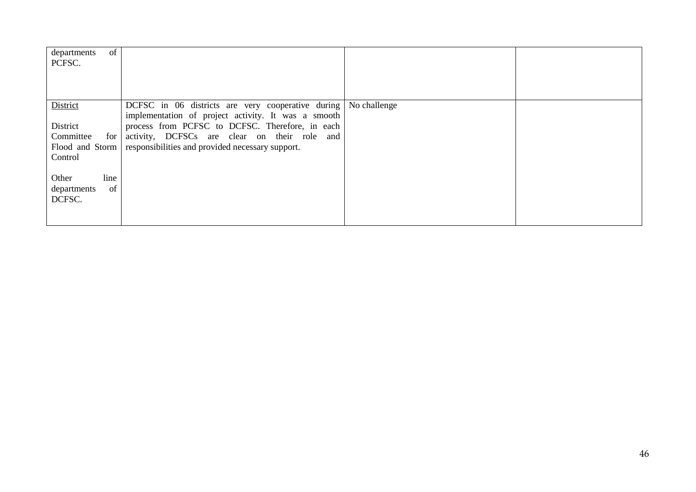| of<br>departments<br>PCFSC. |                                                                                                        |  |
|-----------------------------|--------------------------------------------------------------------------------------------------------|--|
| District                    | DCFSC in 06 districts are very cooperative during No challenge                                         |  |
| District                    | implementation of project activity. It was a smooth<br>process from PCFSC to DCFSC. Therefore, in each |  |
| Committee<br>for            | activity, DCFSCs are clear on their role and                                                           |  |
|                             | Flood and Storm responsibilities and provided necessary support.                                       |  |
| Control                     |                                                                                                        |  |
|                             |                                                                                                        |  |
| line<br>Other               |                                                                                                        |  |
| of<br>departments           |                                                                                                        |  |
| DCFSC.                      |                                                                                                        |  |
|                             |                                                                                                        |  |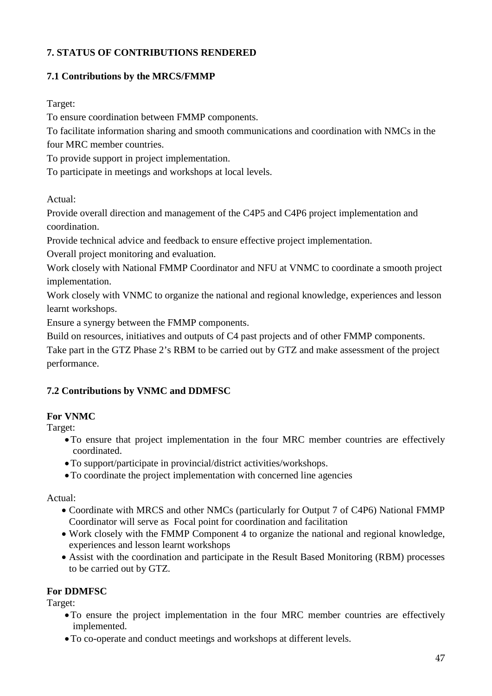# <span id="page-50-0"></span>**7. STATUS OF CONTRIBUTIONS RENDERED**

# <span id="page-50-1"></span>**7.1 Contributions by the MRCS/FMMP**

Target:

To ensure coordination between FMMP components.

To facilitate information sharing and smooth communications and coordination with NMCs in the four MRC member countries.

To provide support in project implementation.

To participate in meetings and workshops at local levels.

Actual:

Provide overall direction and management of the C4P5 and C4P6 project implementation and coordination.

Provide technical advice and feedback to ensure effective project implementation.

Overall project monitoring and evaluation.

Work closely with National FMMP Coordinator and NFU at VNMC to coordinate a smooth project implementation.

Work closely with VNMC to organize the national and regional knowledge, experiences and lesson learnt workshops.

Ensure a synergy between the FMMP components.

Build on resources, initiatives and outputs of C4 past projects and of other FMMP components.

Take part in the GTZ Phase 2's RBM to be carried out by GTZ and make assessment of the project performance.

# <span id="page-50-2"></span>**7.2 Contributions by VNMC and DDMFSC**

# **For VNMC**

Target:

- •To ensure that project implementation in the four MRC member countries are effectively coordinated.
- •To support/participate in provincial/district activities/workshops.
- •To coordinate the project implementation with concerned line agencies

Actual:

- Coordinate with MRCS and other NMCs (particularly for Output 7 of C4P6) National FMMP Coordinator will serve as Focal point for coordination and facilitation
- Work closely with the FMMP Component 4 to organize the national and regional knowledge, experiences and lesson learnt workshops
- Assist with the coordination and participate in the Result Based Monitoring (RBM) processes to be carried out by GTZ.

# **For DDMFSC**

Target:

- •To ensure the project implementation in the four MRC member countries are effectively implemented.
- •To co-operate and conduct meetings and workshops at different levels.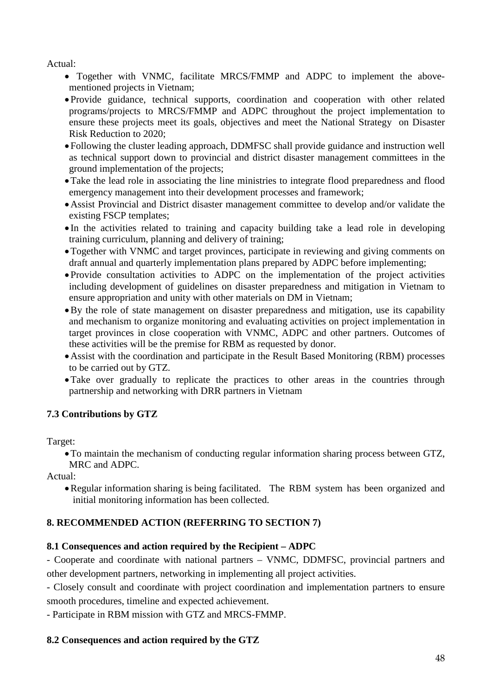Actual:

- Together with VNMC, facilitate MRCS/FMMP and ADPC to implement the abovementioned projects in Vietnam;
- Provide guidance, technical supports, coordination and cooperation with other related programs/projects to MRCS/FMMP and ADPC throughout the project implementation to ensure these projects meet its goals, objectives and meet the National Strategy on Disaster Risk Reduction to 2020;
- Following the cluster leading approach, DDMFSC shall provide guidance and instruction well as technical support down to provincial and district disaster management committees in the ground implementation of the projects;
- •Take the lead role in associating the line ministries to integrate flood preparedness and flood emergency management into their development processes and framework;
- •Assist Provincial and District disaster management committee to develop and/or validate the existing FSCP templates;
- In the activities related to training and capacity building take a lead role in developing training curriculum, planning and delivery of training;
- Together with VNMC and target provinces, participate in reviewing and giving comments on draft annual and quarterly implementation plans prepared by ADPC before implementing;
- Provide consultation activities to ADPC on the implementation of the project activities including development of guidelines on disaster preparedness and mitigation in Vietnam to ensure appropriation and unity with other materials on DM in Vietnam;
- •By the role of state management on disaster preparedness and mitigation, use its capability and mechanism to organize monitoring and evaluating activities on project implementation in target provinces in close cooperation with VNMC, ADPC and other partners. Outcomes of these activities will be the premise for RBM as requested by donor.
- •Assist with the coordination and participate in the Result Based Monitoring (RBM) processes to be carried out by GTZ.
- •Take over gradually to replicate the practices to other areas in the countries through partnership and networking with DRR partners in Vietnam

# <span id="page-51-0"></span>**7.3 Contributions by GTZ**

Target:

•To maintain the mechanism of conducting regular information sharing process between GTZ, MRC and ADPC.

Actual:

•Regular information sharing is being facilitated. The RBM system has been organized and initial monitoring information has been collected.

# <span id="page-51-1"></span>**8. RECOMMENDED ACTION (REFERRING TO SECTION 7)**

# **8.1 Consequences and action required by the Recipient – ADPC**

- Cooperate and coordinate with national partners – VNMC, DDMFSC, provincial partners and other development partners, networking in implementing all project activities.

- Closely consult and coordinate with project coordination and implementation partners to ensure smooth procedures, timeline and expected achievement.

- Participate in RBM mission with GTZ and MRCS-FMMP.

# **8.2 Consequences and action required by the GTZ**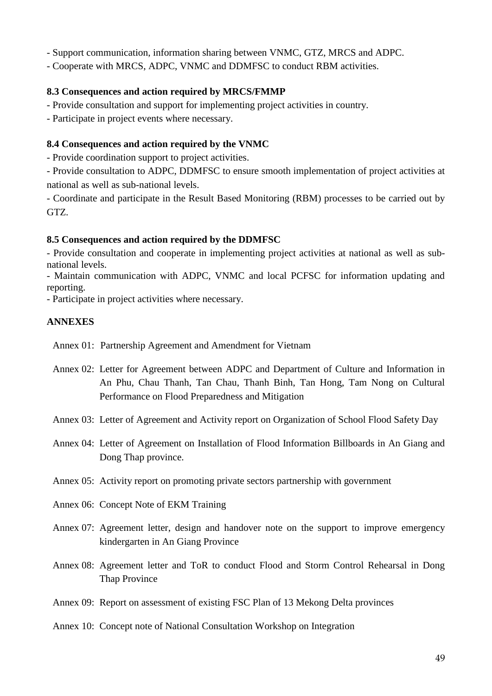- Support communication, information sharing between VNMC, GTZ, MRCS and ADPC.

- Cooperate with MRCS, ADPC, VNMC and DDMFSC to conduct RBM activities.

# **8.3 Consequences and action required by MRCS/FMMP**

- Provide consultation and support for implementing project activities in country.

- Participate in project events where necessary.

# **8.4 Consequences and action required by the VNMC**

- Provide coordination support to project activities.

- Provide consultation to ADPC, DDMFSC to ensure smooth implementation of project activities at national as well as sub-national levels.

- Coordinate and participate in the Result Based Monitoring (RBM) processes to be carried out by GTZ.

# **8.5 Consequences and action required by the DDMFSC**

- Provide consultation and cooperate in implementing project activities at national as well as subnational levels.

- Maintain communication with ADPC, VNMC and local PCFSC for information updating and reporting.

- Participate in project activities where necessary.

# <span id="page-52-0"></span>**ANNEXES**

Annex 01: Partnership Agreement and Amendment for Vietnam

Annex 02: Letter for Agreement between ADPC and Department of Culture and Information in An Phu, Chau Thanh, Tan Chau, Thanh Binh, Tan Hong, Tam Nong on Cultural Performance on Flood Preparedness and Mitigation

Annex 03: Letter of Agreement and Activity report on Organization of School Flood Safety Day

- Annex 04: Letter of Agreement on Installation of Flood Information Billboards in An Giang and Dong Thap province.
- Annex 05: Activity report on promoting private sectors partnership with government
- Annex 06: Concept Note of EKM Training
- Annex 07: Agreement letter, design and handover note on the support to improve emergency kindergarten in An Giang Province
- Annex 08: Agreement letter and ToR to conduct Flood and Storm Control Rehearsal in Dong Thap Province
- Annex 09: Report on assessment of existing FSC Plan of 13 Mekong Delta provinces
- Annex 10: Concept note of National Consultation Workshop on Integration